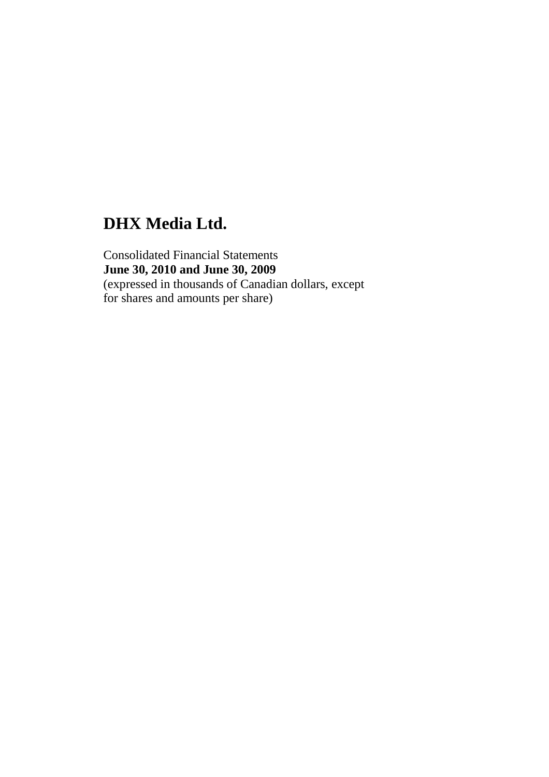Consolidated Financial Statements **June 30, 2010 and June 30, 2009** (expressed in thousands of Canadian dollars, except for shares and amounts per share)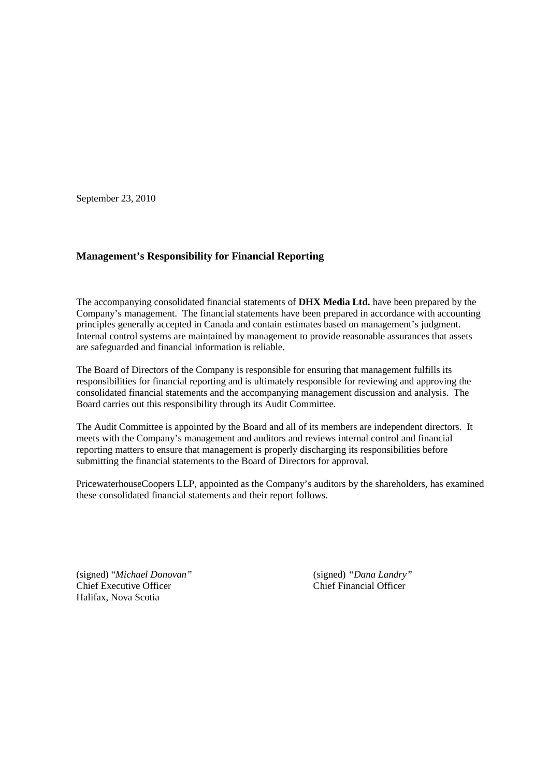September 23, 2010

### **Management's Responsibility for Financial Reporting**

The accompanying consolidated financial statements of **DHX Media Ltd.** have been prepared by the Company's management. The financial statements have been prepared in accordance with accounting principles generally accepted in Canada and contain estimates based on management's judgment. Internal control systems are maintained by management to provide reasonable assurances that assets are safeguarded and financial information is reliable.

The Board of Directors of the Company is responsible for ensuring that management fulfills its responsibilities for financial reporting and is ultimately responsible for reviewing and approving the consolidated financial statements and the accompanying management discussion and analysis. The Board carries out this responsibility through its Audit Committee.

The Audit Committee is appointed by the Board and all of its members are independent directors. It meets with the Company's management and auditors and reviews internal control and financial reporting matters to ensure that management is properly discharging its responsibilities before submitting the financial statements to the Board of Directors for approval.

PricewaterhouseCoopers LLP, appointed as the Company's auditors by the shareholders, has examined these consolidated financial statements and their report follows.

(signed) "*Michael Donovan"* (signed) *"Dana Landry"* Chief Executive Officer Chief Financial Officer Halifax, Nova Scotia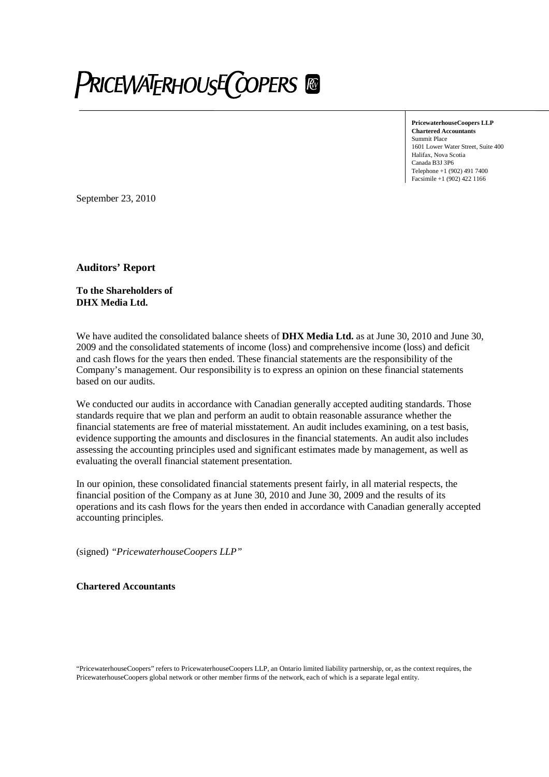# **PRICEWATERHOUSE COPERS &**

**PricewaterhouseCoopers LLP Chartered Accountants** Summit Place 1601 Lower Water Street, Suite 400 Halifax, Nova Scotia Canada B3J 3P6 Telephone +1 (902) 491 7400 Facsimile +1 (902) 422 1166

September 23, 2010

**Auditors' Report**

**To the Shareholders of DHX Media Ltd.**

We have audited the consolidated balance sheets of **DHX Media Ltd.** as at June 30, 2010 and June 30, 2009 and the consolidated statements of income (loss) and comprehensive income (loss) and deficit and cash flows for the years then ended. These financial statements are the responsibility of the Company's management. Our responsibility is to express an opinion on these financial statements based on our audits.

We conducted our audits in accordance with Canadian generally accepted auditing standards. Those standards require that we plan and perform an audit to obtain reasonable assurance whether the financial statements are free of material misstatement. An audit includes examining, on a test basis, evidence supporting the amounts and disclosures in the financial statements. An audit also includes assessing the accounting principles used and significant estimates made by management, as well as evaluating the overall financial statement presentation.

In our opinion, these consolidated financial statements present fairly, in all material respects, the financial position of the Company as at June 30, 2010 and June 30, 2009 and the results of its operations and its cash flows for the years then ended in accordance with Canadian generally accepted accounting principles.

(signed) *"PricewaterhouseCoopers LLP"*

**Chartered Accountants**

"PricewaterhouseCoopers" refers to PricewaterhouseCoopers LLP, an Ontario limited liability partnership, or, as the context requires, the PricewaterhouseCoopers global network or other member firms of the network, each of which is a separate legal entity.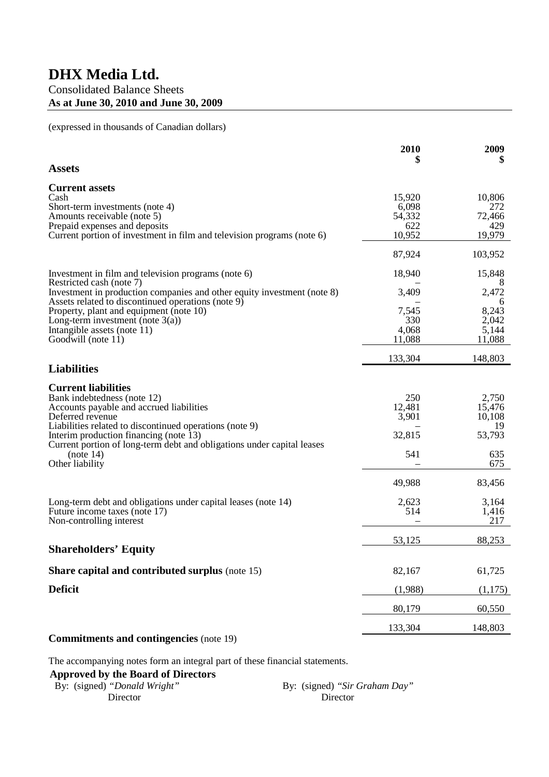### Consolidated Balance Sheets **As at June 30, 2010 and June 30, 2009**

(expressed in thousands of Canadian dollars)

|                                                                                                                                                                                                                                                                                                          | 2010                                     | 2009<br>\$                                      |
|----------------------------------------------------------------------------------------------------------------------------------------------------------------------------------------------------------------------------------------------------------------------------------------------------------|------------------------------------------|-------------------------------------------------|
| <b>Assets</b>                                                                                                                                                                                                                                                                                            |                                          |                                                 |
| <b>Current assets</b><br>Cash<br>Short-term investments (note 4)<br>Amounts receivable (note 5)<br>Prepaid expenses and deposits                                                                                                                                                                         | 15,920<br>6,098<br>54,332<br>622         | 10,806<br>272<br>72,466<br>429                  |
| Current portion of investment in film and television programs (note 6)                                                                                                                                                                                                                                   | 10,952                                   | 19,979                                          |
|                                                                                                                                                                                                                                                                                                          | 87,924                                   | 103,952                                         |
| Investment in film and television programs (note 6)<br>Restricted cash (note 7)                                                                                                                                                                                                                          | 18,940                                   | 15,848<br>8                                     |
| Investment in production companies and other equity investment (note 8)<br>Assets related to discontinued operations (note 9)<br>Property, plant and equipment (note 10)<br>Long-term investment (note $3(a)$ )<br>Intangible assets (note 11)<br>Goodwill (note 11)                                     | 3,409<br>7,545<br>330<br>4,068<br>11,088 | 2,472<br>6<br>8,243<br>2,042<br>5,144<br>11,088 |
|                                                                                                                                                                                                                                                                                                          | 133,304                                  | 148,803                                         |
| <b>Liabilities</b>                                                                                                                                                                                                                                                                                       |                                          |                                                 |
| <b>Current liabilities</b><br>Bank indebtedness (note 12)<br>Accounts payable and accrued liabilities<br>Deferred revenue<br>Liabilities related to discontinued operations (note 9)<br>Interim production financing (note 13)<br>Current portion of long-term debt and obligations under capital leases | 250<br>12,481<br>3,901<br>32,815         | 2,750<br>15,476<br>10,108<br>19<br>53,793       |
| (note 14)<br>Other liability                                                                                                                                                                                                                                                                             | 541                                      | 635<br>675                                      |
|                                                                                                                                                                                                                                                                                                          | 49,988                                   | 83,456                                          |
| Long-term debt and obligations under capital leases (note 14)<br>Future income taxes (note 17)<br>Non-controlling interest                                                                                                                                                                               | 2,623<br>514                             | 3,164<br>1,416<br>217                           |
|                                                                                                                                                                                                                                                                                                          | 53,125                                   | 88,253                                          |
| <b>Shareholders' Equity</b>                                                                                                                                                                                                                                                                              |                                          |                                                 |
| <b>Share capital and contributed surplus (note 15)</b>                                                                                                                                                                                                                                                   | 82,167                                   | 61,725                                          |
| <b>Deficit</b>                                                                                                                                                                                                                                                                                           | (1,988)                                  | (1,175)                                         |
|                                                                                                                                                                                                                                                                                                          | 80,179                                   | 60,550                                          |
|                                                                                                                                                                                                                                                                                                          | 133,304                                  | 148,803                                         |
| <b>Commitments and contingencies</b> (note 19)                                                                                                                                                                                                                                                           |                                          |                                                 |

The accompanying notes form an integral part of these financial statements.

### **Approved by the Board of Directors**

| By: (signed) "Donald Wright" | By: (signed) "Sir Graham Day" |
|------------------------------|-------------------------------|
| Director                     | Director                      |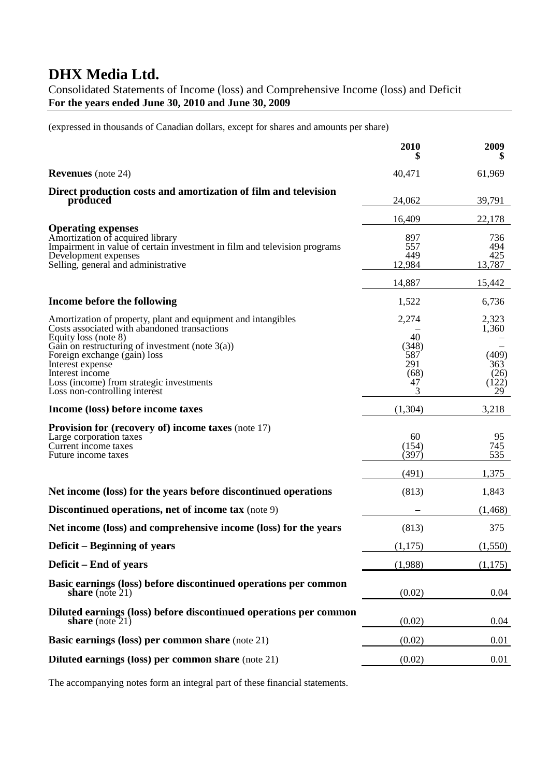Consolidated Statements of Income (loss) and Comprehensive Income (loss) and Deficit **For the years ended June 30, 2010 and June 30, 2009**

(expressed in thousands of Canadian dollars, except for shares and amounts per share)

|                                                                                                                                                                                                           | 2010                                   | 2009                                |
|-----------------------------------------------------------------------------------------------------------------------------------------------------------------------------------------------------------|----------------------------------------|-------------------------------------|
| <b>Revenues</b> (note 24)                                                                                                                                                                                 | 40,471                                 | 61,969                              |
| Direct production costs and amortization of film and television<br>produced                                                                                                                               | 24,062                                 | 39,791                              |
|                                                                                                                                                                                                           | 16,409                                 | 22,178                              |
| <b>Operating expenses</b><br>Amortization of acquired library<br>Impairment in value of certain investment in film and television programs<br>Development expenses<br>Selling, general and administrative | 897<br>557<br>449<br>12,984            | 736<br>494<br>425<br>13,787         |
|                                                                                                                                                                                                           | 14,887                                 | 15,442                              |
| Income before the following                                                                                                                                                                               | 1,522                                  | 6,736                               |
| Amortization of property, plant and equipment and intangibles<br>Costs associated with abandoned transactions<br>Equity loss (note 8)                                                                     | 2,274<br>40                            | 2,323<br>1,360                      |
| Gain on restructuring of investment (note $3(a)$ )<br>Foreign exchange (gain) loss<br>Interest expense<br>Interest income<br>Loss (income) from strategic investments<br>Loss non-controlling interest    | (348)<br>587<br>291<br>(68)<br>47<br>3 | (409)<br>363<br>(26)<br>(122)<br>29 |
| Income (loss) before income taxes                                                                                                                                                                         | (1, 304)                               | 3,218                               |
| Provision for (recovery of) income taxes (note 17)<br>Large corporation taxes<br>Current income taxes<br>Future income taxes                                                                              | 60<br>(154)<br>(397)                   | 95<br>745<br>535                    |
|                                                                                                                                                                                                           | (491)                                  | 1,375                               |
| Net income (loss) for the years before discontinued operations                                                                                                                                            | (813)                                  | 1,843                               |
| <b>Discontinued operations, net of income tax</b> (note 9)                                                                                                                                                |                                        | (1, 468)                            |
| Net income (loss) and comprehensive income (loss) for the years                                                                                                                                           | (813)                                  | 375                                 |
| Deficit – Beginning of years                                                                                                                                                                              | (1,175)                                | (1,550)                             |
| Deficit – End of years                                                                                                                                                                                    | (1,988)                                | (1,175)                             |
| Basic earnings (loss) before discontinued operations per common<br>share (note $21$ )                                                                                                                     | (0.02)                                 | 0.04                                |
| Diluted earnings (loss) before discontinued operations per common<br>share (note $21$ )                                                                                                                   | (0.02)                                 | 0.04                                |
| <b>Basic earnings (loss) per common share (note 21)</b>                                                                                                                                                   | (0.02)                                 | 0.01                                |
| <b>Diluted earnings (loss) per common share (note 21)</b>                                                                                                                                                 | (0.02)                                 | 0.01                                |

The accompanying notes form an integral part of these financial statements.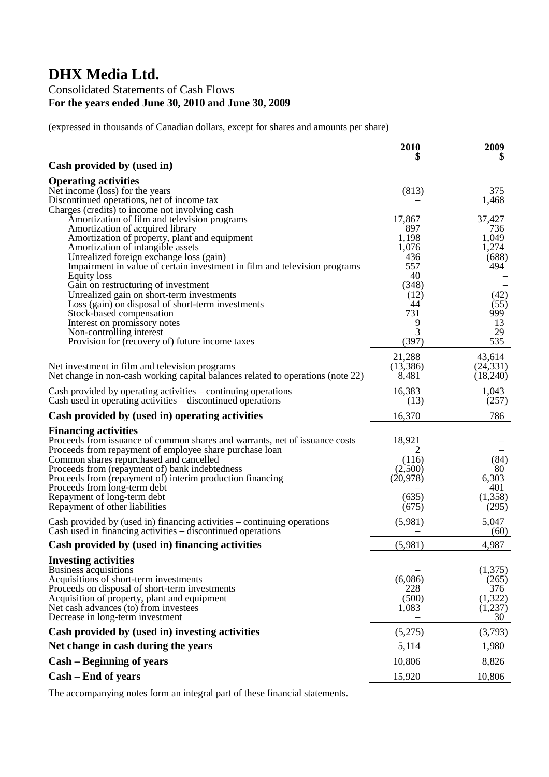### Consolidated Statements of Cash Flows **For the years ended June 30, 2010 and June 30, 2009**

(expressed in thousands of Canadian dollars, except for shares and amounts per share)

|                                                                                                | 2010          | 2009<br>\$     |
|------------------------------------------------------------------------------------------------|---------------|----------------|
| Cash provided by (used in)                                                                     |               |                |
| <b>Operating activities</b>                                                                    |               |                |
| Net income (loss) for the years                                                                | (813)         | 375            |
| Discontinued operations, net of income tax                                                     |               | 1,468          |
| Charges (credits) to income not involving cash                                                 |               |                |
| Amortization of film and television programs<br>Amortization of acquired library               | 17,867<br>897 | 37,427<br>736  |
| Amortization of property, plant and equipment                                                  | 1,198         | 1,049          |
| Amortization of intangible assets                                                              | 1,076         | 1,274          |
| Unrealized foreign exchange loss (gain)                                                        | 436           | (688)          |
| Impairment in value of certain investment in film and television programs                      | 557           | 494            |
| <b>Equity</b> loss                                                                             | 40<br>(348)   |                |
| Gain on restructuring of investment<br>Unrealized gain on short-term investments               | (12)          | (42)           |
| Loss (gain) on disposal of short-term investments                                              | 44            | (55)           |
| Stock-based compensation                                                                       | 731           | 999            |
| Interest on promissory notes                                                                   | 9             | 13             |
| Non-controlling interest                                                                       | 3             | 29             |
| Provision for (recovery of) future income taxes                                                | (397)         | 535            |
|                                                                                                | 21,288        | 43,614         |
| Net investment in film and television programs                                                 | (13, 386)     | (24, 331)      |
| Net change in non-cash working capital balances related to operations (note 22)                | 8,481         | (18,240)       |
| Cash provided by operating activities – continuing operations                                  | 16,383        | 1,043          |
| Cash used in operating activities – discontinued operations                                    | (13)          | (257)          |
| Cash provided by (used in) operating activities                                                | 16,370        | 786            |
| <b>Financing activities</b>                                                                    |               |                |
| Proceeds from issuance of common shares and warrants, net of issuance costs                    | 18,921        |                |
| Proceeds from repayment of employee share purchase loan                                        | 2<br>(116)    | (84)           |
| Common shares repurchased and cancelled<br>Proceeds from (repayment of) bank indebtedness      | (2,500)       | 80             |
| Proceeds from (repayment of) interim production financing                                      | (20, 978)     | 6,303          |
| Proceeds from long-term debt                                                                   |               | 401            |
| Repayment of long-term debt                                                                    | (635)         | (1,358)        |
| Repayment of other liabilities                                                                 | (675)         | (295)          |
| Cash provided by (used in) financing activities – continuing operations                        | (5,981)       | 5,047          |
| Cash used in financing activities – discontinued operations                                    |               | (60)           |
| Cash provided by (used in) financing activities                                                | (5,981)       | 4,987          |
| <b>Investing activities</b>                                                                    |               |                |
| Business acquisitions                                                                          |               | (1,375)        |
| Acquisitions of short-term investments                                                         | (6,086)       | (265)          |
| Proceeds on disposal of short-term investments<br>Acquisition of property, plant and equipment | 228<br>(500)  | 376<br>(1,322) |
| Net cash advances (to) from investees                                                          | 1,083         | (1,237)        |
| Decrease in long-term investment                                                               |               | 30             |
| Cash provided by (used in) investing activities                                                | (5,275)       | (3,793)        |
| Net change in cash during the years                                                            | 5,114         | 1,980          |
| <b>Cash – Beginning of years</b>                                                               | 10,806        | 8,826          |
| Cash – End of years                                                                            | 15,920        | 10,806         |
|                                                                                                |               |                |

The accompanying notes form an integral part of these financial statements.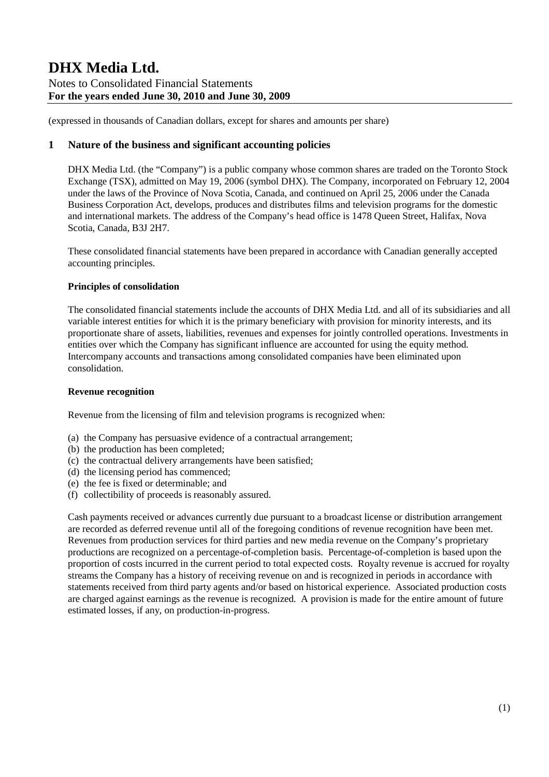(expressed in thousands of Canadian dollars, except for shares and amounts per share)

### **1 Nature of the business and significant accounting policies**

DHX Media Ltd. (the "Company") is a public company whose common shares are traded on the Toronto Stock Exchange (TSX), admitted on May 19, 2006 (symbol DHX). The Company, incorporated on February 12, 2004 under the laws of the Province of Nova Scotia, Canada, and continued on April 25, 2006 under the Canada Business Corporation Act, develops, produces and distributes films and television programs for the domestic and international markets. The address of the Company's head office is 1478 Queen Street, Halifax, Nova Scotia, Canada, B3J 2H7.

These consolidated financial statements have been prepared in accordance with Canadian generally accepted accounting principles.

### **Principles of consolidation**

The consolidated financial statements include the accounts of DHX Media Ltd. and all of its subsidiaries and all variable interest entities for which it is the primary beneficiary with provision for minority interests, and its proportionate share of assets, liabilities, revenues and expenses for jointly controlled operations. Investments in entities over which the Company has significant influence are accounted for using the equity method. Intercompany accounts and transactions among consolidated companies have been eliminated upon consolidation.

### **Revenue recognition**

Revenue from the licensing of film and television programs is recognized when:

- (a) the Company has persuasive evidence of a contractual arrangement;
- (b) the production has been completed;
- (c) the contractual delivery arrangements have been satisfied;
- (d) the licensing period has commenced;
- (e) the fee is fixed or determinable; and
- (f) collectibility of proceeds is reasonably assured.

Cash payments received or advances currently due pursuant to a broadcast license or distribution arrangement are recorded as deferred revenue until all of the foregoing conditions of revenue recognition have been met. Revenues from production services for third parties and new media revenue on the Company's proprietary productions are recognized on a percentage-of-completion basis. Percentage-of-completion is based upon the proportion of costs incurred in the current period to total expected costs. Royalty revenue is accrued for royalty streams the Company has a history of receiving revenue on and is recognized in periods in accordance with statements received from third party agents and/or based on historical experience. Associated production costs are charged against earnings as the revenue is recognized. A provision is made for the entire amount of future estimated losses, if any, on production-in-progress.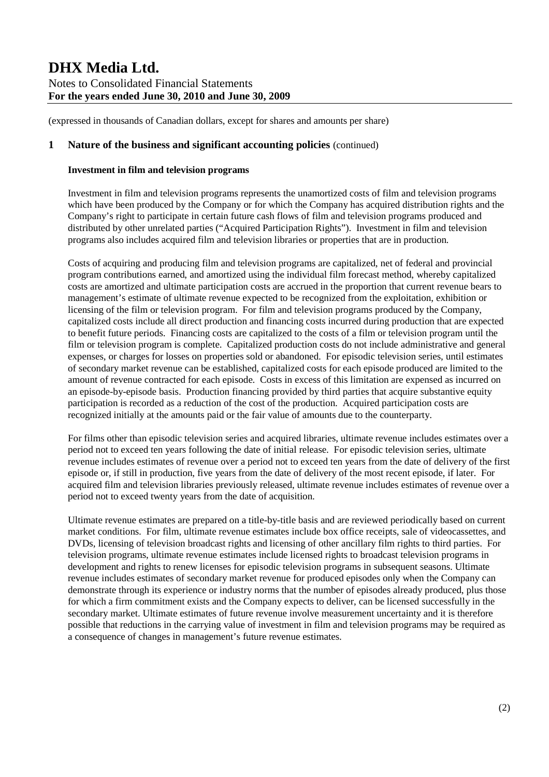(expressed in thousands of Canadian dollars, except for shares and amounts per share)

### **1 Nature of the business and significant accounting policies** (continued)

### **Investment in film and television programs**

Investment in film and television programs represents the unamortized costs of film and television programs which have been produced by the Company or for which the Company has acquired distribution rights and the Company's right to participate in certain future cash flows of film and television programs produced and distributed by other unrelated parties ("Acquired Participation Rights"). Investment in film and television programs also includes acquired film and television libraries or properties that are in production.

Costs of acquiring and producing film and television programs are capitalized, net of federal and provincial program contributions earned, and amortized using the individual film forecast method, whereby capitalized costs are amortized and ultimate participation costs are accrued in the proportion that current revenue bears to management's estimate of ultimate revenue expected to be recognized from the exploitation, exhibition or licensing of the film or television program. For film and television programs produced by the Company, capitalized costs include all direct production and financing costs incurred during production that are expected to benefit future periods. Financing costs are capitalized to the costs of a film or television program until the film or television program is complete. Capitalized production costs do not include administrative and general expenses, or charges for losses on properties sold or abandoned. For episodic television series, until estimates of secondary market revenue can be established, capitalized costs for each episode produced are limited to the amount of revenue contracted for each episode. Costs in excess of this limitation are expensed as incurred on an episode-by-episode basis. Production financing provided by third parties that acquire substantive equity participation is recorded as a reduction of the cost of the production. Acquired participation costs are recognized initially at the amounts paid or the fair value of amounts due to the counterparty.

For films other than episodic television series and acquired libraries, ultimate revenue includes estimates over a period not to exceed ten years following the date of initial release. For episodic television series, ultimate revenue includes estimates of revenue over a period not to exceed ten years from the date of delivery of the first episode or, if still in production, five years from the date of delivery of the most recent episode, if later. For acquired film and television libraries previously released, ultimate revenue includes estimates of revenue over a period not to exceed twenty years from the date of acquisition.

Ultimate revenue estimates are prepared on a title-by-title basis and are reviewed periodically based on current market conditions. For film, ultimate revenue estimates include box office receipts, sale of videocassettes, and DVDs, licensing of television broadcast rights and licensing of other ancillary film rights to third parties. For television programs, ultimate revenue estimates include licensed rights to broadcast television programs in development and rights to renew licenses for episodic television programs in subsequent seasons. Ultimate revenue includes estimates of secondary market revenue for produced episodes only when the Company can demonstrate through its experience or industry norms that the number of episodes already produced, plus those for which a firm commitment exists and the Company expects to deliver, can be licensed successfully in the secondary market. Ultimate estimates of future revenue involve measurement uncertainty and it is therefore possible that reductions in the carrying value of investment in film and television programs may be required as a consequence of changes in management's future revenue estimates.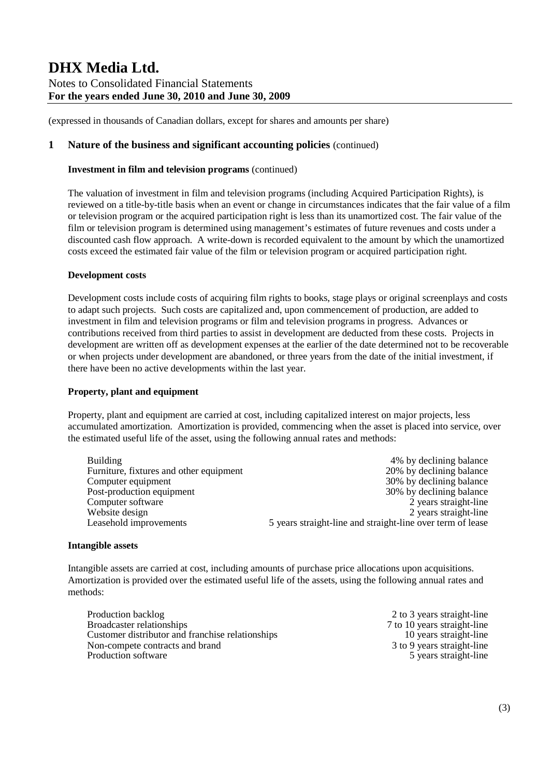(expressed in thousands of Canadian dollars, except for shares and amounts per share)

### **1 Nature of the business and significant accounting policies** (continued)

### **Investment in film and television programs** (continued)

The valuation of investment in film and television programs (including Acquired Participation Rights), is reviewed on a title-by-title basis when an event or change in circumstances indicates that the fair value of a film or television program or the acquired participation right is less than its unamortized cost. The fair value of the film or television program is determined using management's estimates of future revenues and costs under a discounted cash flow approach. A write-down is recorded equivalent to the amount by which the unamortized costs exceed the estimated fair value of the film or television program or acquired participation right.

#### **Development costs**

Development costs include costs of acquiring film rights to books, stage plays or original screenplays and costs to adapt such projects. Such costs are capitalized and, upon commencement of production, are added to investment in film and television programs or film and television programs in progress. Advances or contributions received from third parties to assist in development are deducted from these costs. Projects in development are written off as development expenses at the earlier of the date determined not to be recoverable or when projects under development are abandoned, or three years from the date of the initial investment, if there have been no active developments within the last year.

### **Property, plant and equipment**

Property, plant and equipment are carried at cost, including capitalized interest on major projects, less accumulated amortization. Amortization is provided, commencing when the asset is placed into service, over the estimated useful life of the asset, using the following annual rates and methods:

| <b>Building</b>                         | 4% by declining balance                                    |
|-----------------------------------------|------------------------------------------------------------|
| Furniture, fixtures and other equipment | 20% by declining balance                                   |
| Computer equipment                      | 30% by declining balance                                   |
| Post-production equipment               | 30% by declining balance                                   |
| Computer software                       | 2 years straight-line                                      |
| Website design                          | 2 years straight-line                                      |
| Leasehold improvements                  | 5 years straight-line and straight-line over term of lease |

#### **Intangible assets**

Intangible assets are carried at cost, including amounts of purchase price allocations upon acquisitions. Amortization is provided over the estimated useful life of the assets, using the following annual rates and methods:

| Production backlog                               | 2 to 3 years straight-line  |
|--------------------------------------------------|-----------------------------|
| Broadcaster relationships                        | 7 to 10 years straight-line |
| Customer distributor and franchise relationships | 10 years straight-line      |
| Non-compete contracts and brand                  | 3 to 9 years straight-line  |
| Production software                              | 5 years straight-line       |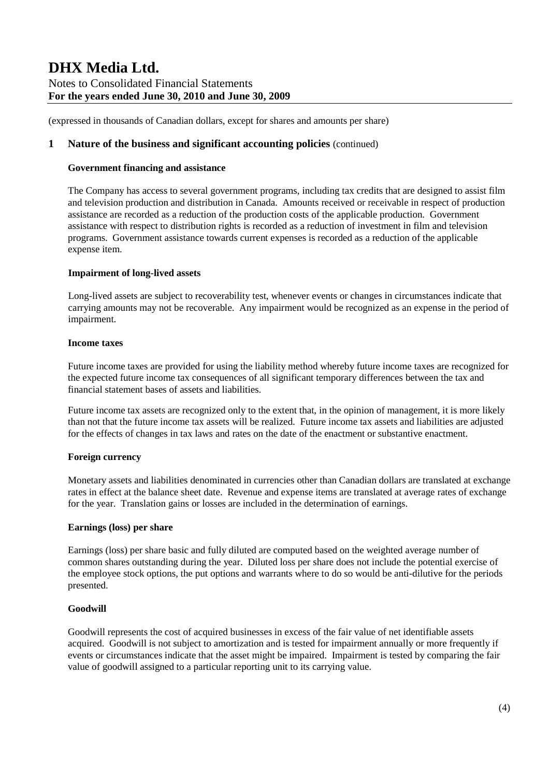(expressed in thousands of Canadian dollars, except for shares and amounts per share)

### **1 Nature of the business and significant accounting policies** (continued)

### **Government financing and assistance**

The Company has access to several government programs, including tax credits that are designed to assist film and television production and distribution in Canada. Amounts received or receivable in respect of production assistance are recorded as a reduction of the production costs of the applicable production. Government assistance with respect to distribution rights is recorded as a reduction of investment in film and television programs. Government assistance towards current expenses is recorded as a reduction of the applicable expense item.

### **Impairment of long-lived assets**

Long-lived assets are subject to recoverability test, whenever events or changes in circumstances indicate that carrying amounts may not be recoverable. Any impairment would be recognized as an expense in the period of impairment.

### **Income taxes**

Future income taxes are provided for using the liability method whereby future income taxes are recognized for the expected future income tax consequences of all significant temporary differences between the tax and financial statement bases of assets and liabilities.

Future income tax assets are recognized only to the extent that, in the opinion of management, it is more likely than not that the future income tax assets will be realized. Future income tax assets and liabilities are adjusted for the effects of changes in tax laws and rates on the date of the enactment or substantive enactment.

### **Foreign currency**

Monetary assets and liabilities denominated in currencies other than Canadian dollars are translated at exchange rates in effect at the balance sheet date. Revenue and expense items are translated at average rates of exchange for the year. Translation gains or losses are included in the determination of earnings.

#### **Earnings (loss) per share**

Earnings (loss) per share basic and fully diluted are computed based on the weighted average number of common shares outstanding during the year. Diluted loss per share does not include the potential exercise of the employee stock options, the put options and warrants where to do so would be anti-dilutive for the periods presented.

### **Goodwill**

Goodwill represents the cost of acquired businesses in excess of the fair value of net identifiable assets acquired. Goodwill is not subject to amortization and is tested for impairment annually or more frequently if events or circumstances indicate that the asset might be impaired. Impairment is tested by comparing the fair value of goodwill assigned to a particular reporting unit to its carrying value.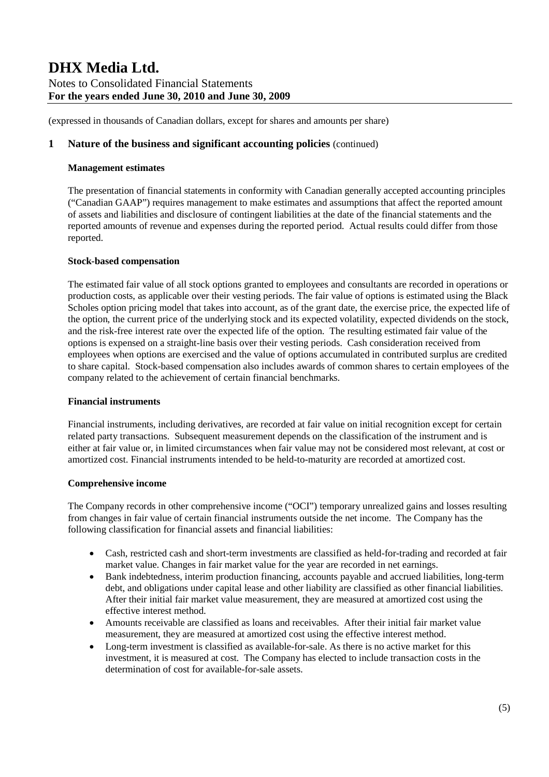(expressed in thousands of Canadian dollars, except for shares and amounts per share)

### **1 Nature of the business and significant accounting policies** (continued)

### **Management estimates**

The presentation of financial statements in conformity with Canadian generally accepted accounting principles ("Canadian GAAP") requires management to make estimates and assumptions that affect the reported amount of assets and liabilities and disclosure of contingent liabilities at the date of the financial statements and the reported amounts of revenue and expenses during the reported period. Actual results could differ from those reported.

#### **Stock-based compensation**

The estimated fair value of all stock options granted to employees and consultants are recorded in operations or production costs, as applicable over their vesting periods. The fair value of options is estimated using the Black Scholes option pricing model that takes into account, as of the grant date, the exercise price, the expected life of the option, the current price of the underlying stock and its expected volatility, expected dividends on the stock, and the risk-free interest rate over the expected life of the option. The resulting estimated fair value of the options is expensed on a straight-line basis over their vesting periods. Cash consideration received from employees when options are exercised and the value of options accumulated in contributed surplus are credited to share capital. Stock-based compensation also includes awards of common shares to certain employees of the company related to the achievement of certain financial benchmarks.

### **Financial instruments**

Financial instruments, including derivatives, are recorded at fair value on initial recognition except for certain related party transactions. Subsequent measurement depends on the classification of the instrument and is either at fair value or, in limited circumstances when fair value may not be considered most relevant, at cost or amortized cost. Financial instruments intended to be held-to-maturity are recorded at amortized cost.

### **Comprehensive income**

The Company records in other comprehensive income ("OCI") temporary unrealized gains and losses resulting from changes in fair value of certain financial instruments outside the net income. The Company has the following classification for financial assets and financial liabilities:

- Cash, restricted cash and short-term investments are classified as held-for-trading and recorded at fair market value. Changes in fair market value for the year are recorded in net earnings.
- Bank indebtedness, interim production financing, accounts payable and accrued liabilities, long-term debt, and obligations under capital lease and other liability are classified as other financial liabilities. After their initial fair market value measurement, they are measured at amortized cost using the effective interest method.
- Amounts receivable are classified as loans and receivables. After their initial fair market value measurement, they are measured at amortized cost using the effective interest method.
- Long-term investment is classified as available-for-sale. As there is no active market for this investment, it is measured at cost. The Company has elected to include transaction costs in the determination of cost for available-for-sale assets.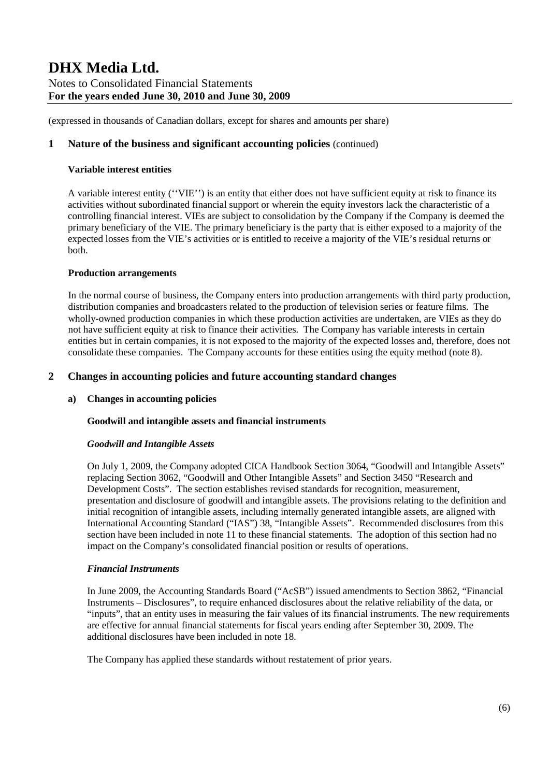(expressed in thousands of Canadian dollars, except for shares and amounts per share)

### **1 Nature of the business and significant accounting policies** (continued)

#### **Variable interest entities**

A variable interest entity (''VIE'') is an entity that either does not have sufficient equity at risk to finance its activities without subordinated financial support or wherein the equity investors lack the characteristic of a controlling financial interest. VIEs are subject to consolidation by the Company if the Company is deemed the primary beneficiary of the VIE. The primary beneficiary is the party that is either exposed to a majority of the expected losses from the VIE's activities or is entitled to receive a majority of the VIE's residual returns or both.

### **Production arrangements**

In the normal course of business, the Company enters into production arrangements with third party production, distribution companies and broadcasters related to the production of television series or feature films. The wholly-owned production companies in which these production activities are undertaken, are VIEs as they do not have sufficient equity at risk to finance their activities. The Company has variable interests in certain entities but in certain companies, it is not exposed to the majority of the expected losses and, therefore, does not consolidate these companies. The Company accounts for these entities using the equity method (note 8).

### **2 Changes in accounting policies and future accounting standard changes**

### **a) Changes in accounting policies**

### **Goodwill and intangible assets and financial instruments**

#### *Goodwill and Intangible Assets*

On July 1, 2009, the Company adopted CICA Handbook Section 3064, "Goodwill and Intangible Assets" replacing Section 3062, "Goodwill and Other Intangible Assets" and Section 3450 "Research and Development Costs". The section establishes revised standards for recognition, measurement, presentation and disclosure of goodwill and intangible assets. The provisions relating to the definition and initial recognition of intangible assets, including internally generated intangible assets, are aligned with International Accounting Standard ("IAS") 38, "Intangible Assets". Recommended disclosures from this section have been included in note 11 to these financial statements. The adoption of this section had no impact on the Company's consolidated financial position or results of operations.

#### *Financial Instruments*

In June 2009, the Accounting Standards Board ("AcSB") issued amendments to Section 3862, "Financial Instruments – Disclosures", to require enhanced disclosures about the relative reliability of the data, or "inputs", that an entity uses in measuring the fair values of its financial instruments. The new requirements are effective for annual financial statements for fiscal years ending after September 30, 2009. The additional disclosures have been included in note 18.

The Company has applied these standards without restatement of prior years.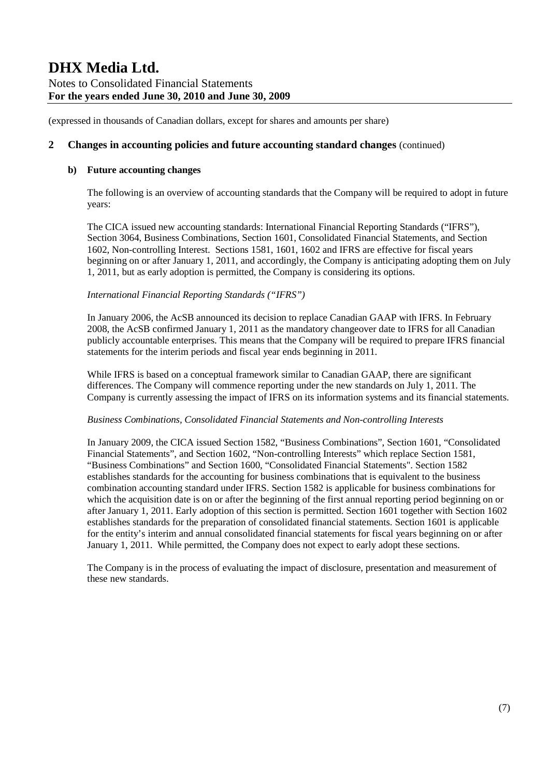(expressed in thousands of Canadian dollars, except for shares and amounts per share)

### **2 Changes in accounting policies and future accounting standard changes** (continued)

### **b) Future accounting changes**

The following is an overview of accounting standards that the Company will be required to adopt in future years:

The CICA issued new accounting standards: International Financial Reporting Standards ("IFRS"), Section 3064, Business Combinations, Section 1601, Consolidated Financial Statements, and Section 1602, Non-controlling Interest. Sections 1581, 1601, 1602 and IFRS are effective for fiscal years beginning on or after January 1, 2011, and accordingly, the Company is anticipating adopting them on July 1, 2011, but as early adoption is permitted, the Company is considering its options.

#### *International Financial Reporting Standards ("IFRS")*

In January 2006, the AcSB announced its decision to replace Canadian GAAP with IFRS. In February 2008, the AcSB confirmed January 1, 2011 as the mandatory changeover date to IFRS for all Canadian publicly accountable enterprises. This means that the Company will be required to prepare IFRS financial statements for the interim periods and fiscal year ends beginning in 2011.

While IFRS is based on a conceptual framework similar to Canadian GAAP, there are significant differences. The Company will commence reporting under the new standards on July 1, 2011. The Company is currently assessing the impact of IFRS on its information systems and its financial statements.

#### *Business Combinations, Consolidated Financial Statements and Non-controlling Interests*

In January 2009, the CICA issued Section 1582, "Business Combinations", Section 1601, "Consolidated Financial Statements", and Section 1602, "Non-controlling Interests" which replace Section 1581, "Business Combinations" and Section 1600, "Consolidated Financial Statements". Section 1582 establishes standards for the accounting for business combinations that is equivalent to the business combination accounting standard under IFRS. Section 1582 is applicable for business combinations for which the acquisition date is on or after the beginning of the first annual reporting period beginning on or after January 1, 2011. Early adoption of this section is permitted. Section 1601 together with Section 1602 establishes standards for the preparation of consolidated financial statements. Section 1601 is applicable for the entity's interim and annual consolidated financial statements for fiscal years beginning on or after January 1, 2011. While permitted, the Company does not expect to early adopt these sections.

The Company is in the process of evaluating the impact of disclosure, presentation and measurement of these new standards.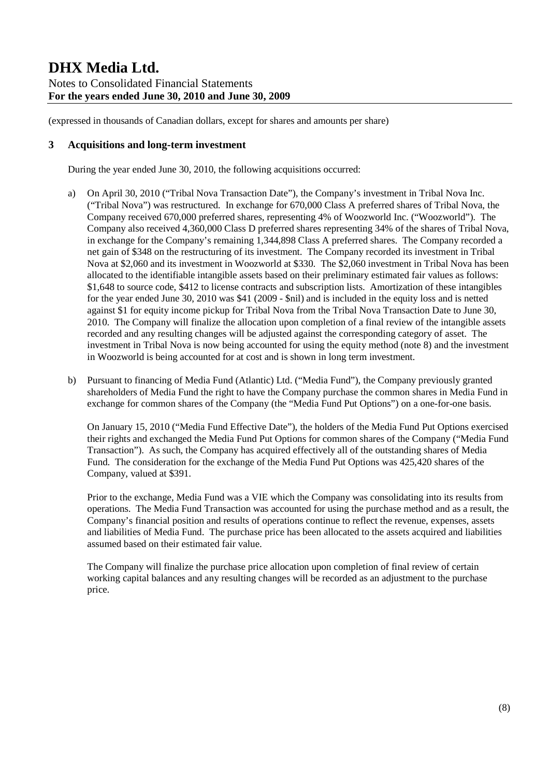### **3 Acquisitions and long-term investment**

During the year ended June 30, 2010, the following acquisitions occurred:

- a) On April 30, 2010 ("Tribal Nova Transaction Date"), the Company's investment in Tribal Nova Inc. ("Tribal Nova") was restructured. In exchange for 670,000 Class A preferred shares of Tribal Nova, the Company received 670,000 preferred shares, representing 4% of Woozworld Inc. ("Woozworld"). The Company also received 4,360,000 Class D preferred shares representing 34% of the shares of Tribal Nova, in exchange for the Company's remaining 1,344,898 Class A preferred shares. The Company recorded a net gain of \$348 on the restructuring of its investment. The Company recorded its investment in Tribal Nova at \$2,060 and its investment in Woozworld at \$330. The \$2,060 investment in Tribal Nova has been allocated to the identifiable intangible assets based on their preliminary estimated fair values as follows: \$1,648 to source code, \$412 to license contracts and subscription lists. Amortization of these intangibles for the year ended June 30, 2010 was \$41 (2009 - \$nil) and is included in the equity loss and is netted against \$1 for equity income pickup for Tribal Nova from the Tribal Nova Transaction Date to June 30, 2010. The Company will finalize the allocation upon completion of a final review of the intangible assets recorded and any resulting changes will be adjusted against the corresponding category of asset. The investment in Tribal Nova is now being accounted for using the equity method (note 8) and the investment in Woozworld is being accounted for at cost and is shown in long term investment.
- b) Pursuant to financing of Media Fund (Atlantic) Ltd. ("Media Fund"), the Company previously granted shareholders of Media Fund the right to have the Company purchase the common shares in Media Fund in exchange for common shares of the Company (the "Media Fund Put Options") on a one-for-one basis.

On January 15, 2010 ("Media Fund Effective Date"), the holders of the Media Fund Put Options exercised their rights and exchanged the Media Fund Put Options for common shares of the Company ("Media Fund Transaction"). As such, the Company has acquired effectively all of the outstanding shares of Media Fund. The consideration for the exchange of the Media Fund Put Options was 425,420 shares of the Company, valued at \$391.

Prior to the exchange, Media Fund was a VIE which the Company was consolidating into its results from operations. The Media Fund Transaction was accounted for using the purchase method and as a result, the Company's financial position and results of operations continue to reflect the revenue, expenses, assets and liabilities of Media Fund. The purchase price has been allocated to the assets acquired and liabilities assumed based on their estimated fair value.

The Company will finalize the purchase price allocation upon completion of final review of certain working capital balances and any resulting changes will be recorded as an adjustment to the purchase price.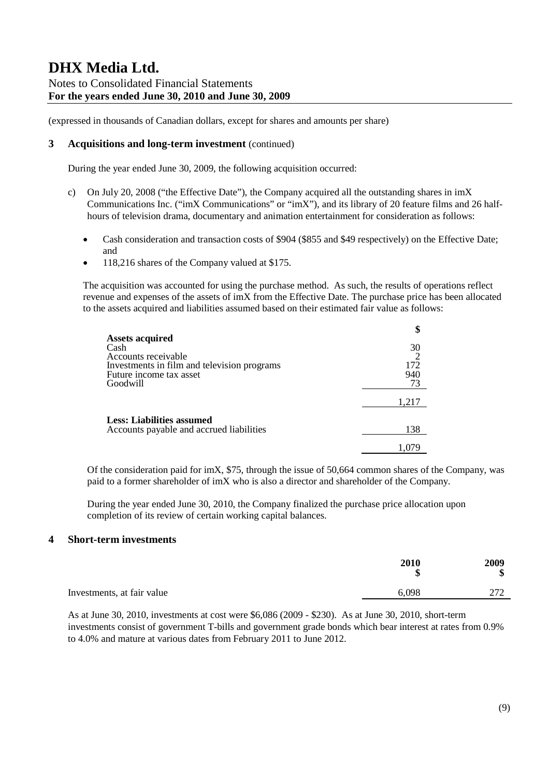(expressed in thousands of Canadian dollars, except for shares and amounts per share)

### **3 Acquisitions and long-term investment** (continued)

During the year ended June 30, 2009, the following acquisition occurred:

- c) On July 20, 2008 ("the Effective Date"), the Company acquired all the outstanding shares in imX Communications Inc. ("imX Communications" or "imX"), and its library of 20 feature films and 26 halfhours of television drama, documentary and animation entertainment for consideration as follows:
	- Cash consideration and transaction costs of \$904 (\$855 and \$49 respectively) on the Effective Date; and
	- 118,216 shares of the Company valued at \$175.

The acquisition was accounted for using the purchase method. As such, the results of operations reflect revenue and expenses of the assets of imX from the Effective Date. The purchase price has been allocated to the assets acquired and liabilities assumed based on their estimated fair value as follows:

|                                                                                                                                             | \$                     |
|---------------------------------------------------------------------------------------------------------------------------------------------|------------------------|
| <b>Assets acquired</b><br>Cash<br>Accounts receivable<br>Investments in film and television programs<br>Future income tax asset<br>Goodwill | 30<br>172<br>940<br>73 |
|                                                                                                                                             | 1,217                  |
| <b>Less: Liabilities assumed</b><br>Accounts payable and accrued liabilities                                                                | 138                    |
|                                                                                                                                             |                        |

Of the consideration paid for imX, \$75, through the issue of 50,664 common shares of the Company, was paid to a former shareholder of imX who is also a director and shareholder of the Company.

During the year ended June 30, 2010, the Company finalized the purchase price allocation upon completion of its review of certain working capital balances.

### **4 Short-term investments**

|                            | 2010<br>¢ | 2009<br>Φ<br>ง |
|----------------------------|-----------|----------------|
| Investments, at fair value | 6,098     | 272<br>41 A    |
|                            |           |                |

As at June 30, 2010, investments at cost were \$6,086 (2009 - \$230). As at June 30, 2010, short-term investments consist of government T-bills and government grade bonds which bear interest at rates from 0.9% to 4.0% and mature at various dates from February 2011 to June 2012.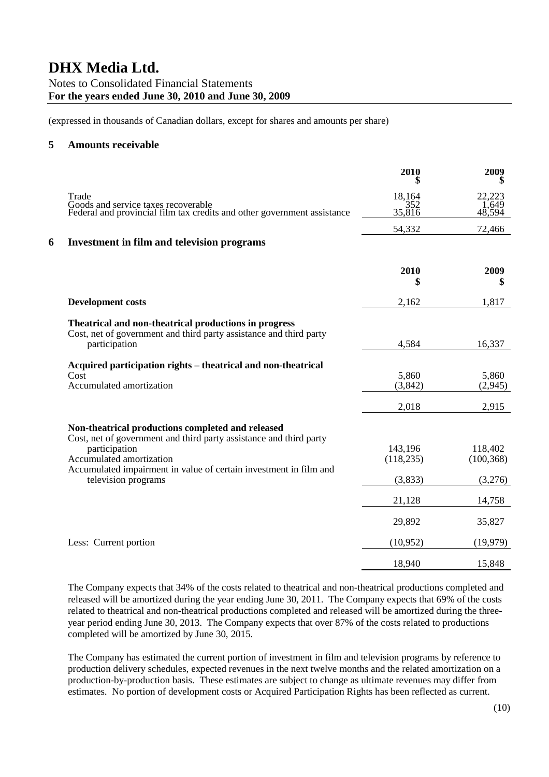(expressed in thousands of Canadian dollars, except for shares and amounts per share)

### **5 Amounts receivable**

|   |                                                                                                                                                                                                                                                                  | 2010                             | 2009                             |
|---|------------------------------------------------------------------------------------------------------------------------------------------------------------------------------------------------------------------------------------------------------------------|----------------------------------|----------------------------------|
|   | Trade<br>Goods and service taxes recoverable<br>Federal and provincial film tax credits and other government assistance                                                                                                                                          | 18,164<br>352<br>35,816          | 22,223<br>1,649<br>48,594        |
|   |                                                                                                                                                                                                                                                                  | 54,332                           | 72,466                           |
| 6 | Investment in film and television programs                                                                                                                                                                                                                       |                                  |                                  |
|   |                                                                                                                                                                                                                                                                  | 2010<br>S                        | 2009<br>\$                       |
|   | <b>Development costs</b>                                                                                                                                                                                                                                         | 2,162                            | 1,817                            |
|   | Theatrical and non-theatrical productions in progress<br>Cost, net of government and third party assistance and third party<br>participation                                                                                                                     | 4,584                            | 16,337                           |
|   | Acquired participation rights - theatrical and non-theatrical<br>Cost<br>Accumulated amortization                                                                                                                                                                | 5,860<br>(3, 842)                | 5,860<br>(2,945)                 |
|   |                                                                                                                                                                                                                                                                  | 2,018                            | 2,915                            |
|   | Non-theatrical productions completed and released<br>Cost, net of government and third party assistance and third party<br>participation<br>Accumulated amortization<br>Accumulated impairment in value of certain investment in film and<br>television programs | 143,196<br>(118, 235)<br>(3,833) | 118,402<br>(100, 368)<br>(3,276) |
|   |                                                                                                                                                                                                                                                                  | 21,128                           | 14,758                           |
|   |                                                                                                                                                                                                                                                                  | 29,892                           | 35,827                           |
|   | Less: Current portion                                                                                                                                                                                                                                            | (10, 952)                        | (19,979)                         |
|   |                                                                                                                                                                                                                                                                  | 18,940                           | 15,848                           |

The Company expects that 34% of the costs related to theatrical and non-theatrical productions completed and released will be amortized during the year ending June 30, 2011. The Company expects that 69% of the costs related to theatrical and non-theatrical productions completed and released will be amortized during the threeyear period ending June 30, 2013. The Company expects that over 87% of the costs related to productions completed will be amortized by June 30, 2015.

The Company has estimated the current portion of investment in film and television programs by reference to production delivery schedules, expected revenues in the next twelve months and the related amortization on a production-by-production basis. These estimates are subject to change as ultimate revenues may differ from estimates. No portion of development costs or Acquired Participation Rights has been reflected as current.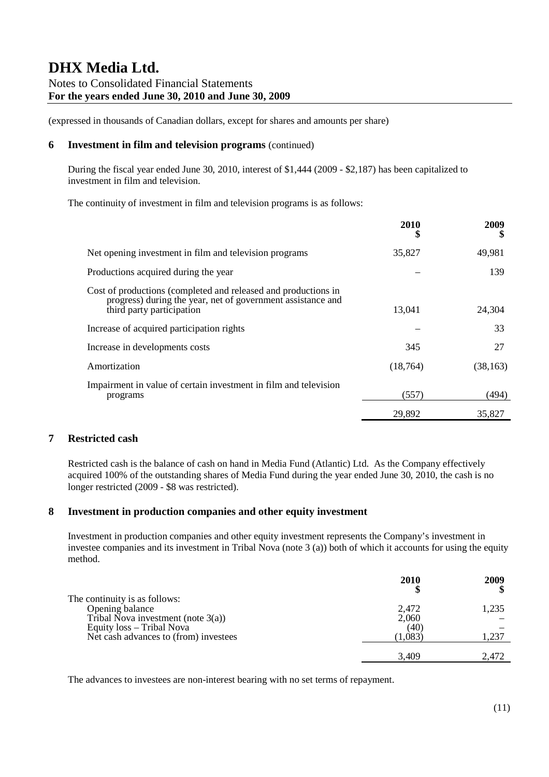(expressed in thousands of Canadian dollars, except for shares and amounts per share)

### **6 Investment in film and television programs** (continued)

During the fiscal year ended June 30, 2010, interest of \$1,444 (2009 - \$2,187) has been capitalized to investment in film and television.

The continuity of investment in film and television programs is as follows:

|                                                                                                                                                            | 2010      | 2009      |
|------------------------------------------------------------------------------------------------------------------------------------------------------------|-----------|-----------|
| Net opening investment in film and television programs                                                                                                     | 35,827    | 49,981    |
| Productions acquired during the year                                                                                                                       |           | 139       |
| Cost of productions (completed and released and productions in<br>progress) during the year, net of government assistance and<br>third party participation | 13,041    | 24,304    |
| Increase of acquired participation rights                                                                                                                  |           | 33        |
| Increase in developments costs                                                                                                                             | 345       | 27        |
| Amortization                                                                                                                                               | (18, 764) | (38, 163) |
| Impairment in value of certain investment in film and television<br>programs                                                                               | (557)     | (494)     |
|                                                                                                                                                            | 29.892    | 35.827    |

### **7 Restricted cash**

Restricted cash is the balance of cash on hand in Media Fund (Atlantic) Ltd. As the Company effectively acquired 100% of the outstanding shares of Media Fund during the year ended June 30, 2010, the cash is no longer restricted (2009 - \$8 was restricted).

### **8 Investment in production companies and other equity investment**

Investment in production companies and other equity investment represents the Company's investment in investee companies and its investment in Tribal Nova (note 3 (a)) both of which it accounts for using the equity method.

|                                       | 2010  | 2009  |
|---------------------------------------|-------|-------|
| The continuity is as follows:         |       |       |
| Opening balance                       | 2,472 | 1,235 |
| Tribal Nova investment (note $3(a)$ ) | 2,060 |       |
| Equity loss - Tribal Nova             | (40)  |       |
| Net cash advances to (from) investees | 1.083 | 1,237 |
|                                       |       |       |
|                                       | 3.409 | 2,472 |

The advances to investees are non-interest bearing with no set terms of repayment.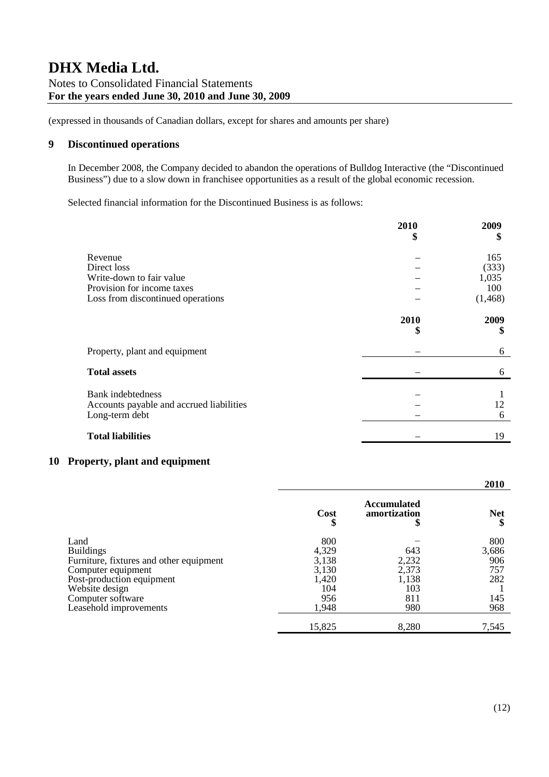### **9 Discontinued operations**

In December 2008, the Company decided to abandon the operations of Bulldog Interactive (the "Discontinued Business") due to a slow down in franchisee opportunities as a result of the global economic recession.

Selected financial information for the Discontinued Business is as follows:

|                                          | 2010<br>\$ | 2009<br>S  |
|------------------------------------------|------------|------------|
| Revenue                                  |            | 165        |
| Direct loss                              |            | (333)      |
| Write-down to fair value                 |            | 1,035      |
| Provision for income taxes               |            | 100        |
| Loss from discontinued operations        |            | (1, 468)   |
|                                          | 2010<br>\$ | 2009<br>\$ |
| Property, plant and equipment            |            | 6          |
| <b>Total assets</b>                      |            | 6          |
| <b>Bank</b> indebtedness                 |            |            |
| Accounts payable and accrued liabilities |            | 12         |
| Long-term debt                           |            | 6          |
| <b>Total liabilities</b>                 |            | 19         |

### **10 Property, plant and equipment**

|                                         |        |                                         | 2010       |
|-----------------------------------------|--------|-----------------------------------------|------------|
|                                         | Cost   | <b>Accumulated</b><br>amortization<br>Φ | <b>Net</b> |
| Land                                    | 800    |                                         | 800        |
| <b>Buildings</b>                        | 4,329  | 643                                     | 3,686      |
| Furniture, fixtures and other equipment | 3,138  | 2,232                                   | 906        |
| Computer equipment                      | 3,130  | 2,373                                   | 757        |
| Post-production equipment               | 1,420  | 1,138                                   | 282        |
| Website design                          | 104    | 103                                     |            |
| Computer software                       | 956    | 811                                     | 145        |
| Leasehold improvements                  | 1,948  | 980                                     | 968        |
|                                         | 15,825 | 8,280                                   | 7,545      |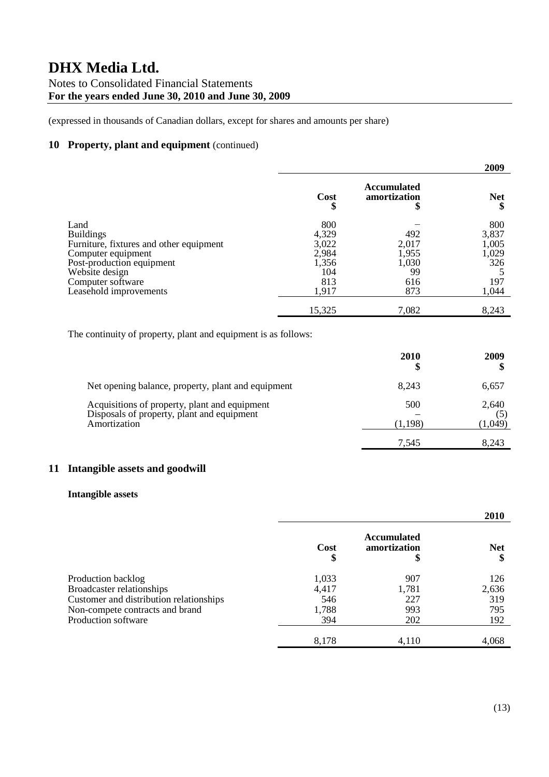(expressed in thousands of Canadian dollars, except for shares and amounts per share)

### **10 Property, plant and equipment** (continued)

|                                         |            |                                         | 2009       |
|-----------------------------------------|------------|-----------------------------------------|------------|
|                                         | Cost<br>\$ | <b>Accumulated</b><br>amortization<br>Φ | <b>Net</b> |
| Land                                    | 800        |                                         | 800        |
| <b>Buildings</b>                        | 4,329      | 492                                     | 3,837      |
| Furniture, fixtures and other equipment | 3,022      | 2,017                                   | 1,005      |
| Computer equipment                      | 2,984      | 1,955                                   | 1,029      |
| Post-production equipment               | 1,356      | 1,030                                   | 326        |
| Website design                          | 104        | 99                                      |            |
| Computer software                       | 813        | 616                                     | 197        |
| Leasehold improvements                  | 1,917      | 873                                     | 1,044      |
|                                         | 15,325     | 7,082                                   | 8,243      |

The continuity of property, plant and equipment is as follows:

|                                                                                                             | 2010<br>\$     | 2009                    |
|-------------------------------------------------------------------------------------------------------------|----------------|-------------------------|
| Net opening balance, property, plant and equipment                                                          | 8.243          | 6,657                   |
| Acquisitions of property, plant and equipment<br>Disposals of property, plant and equipment<br>Amortization | 500<br>(1.198) | 2,640<br>(5)<br>(1,049) |
|                                                                                                             | 7.545          | 8.243                   |

### **11 Intangible assets and goodwill**

### **Intangible assets**

|                                         |            |                                    | 2010       |
|-----------------------------------------|------------|------------------------------------|------------|
|                                         | Cost<br>\$ | <b>Accumulated</b><br>amortization | <b>Net</b> |
| Production backlog                      | 1,033      | 907                                | 126        |
| <b>Broadcaster relationships</b>        | 4,417      | 1,781                              | 2,636      |
| Customer and distribution relationships | 546        | 227                                | 319        |
| Non-compete contracts and brand         | 1,788      | 993                                | 795        |
| <b>Production software</b>              | 394        | 202                                | 192        |
|                                         | 8,178      | 4,110                              | 4,068      |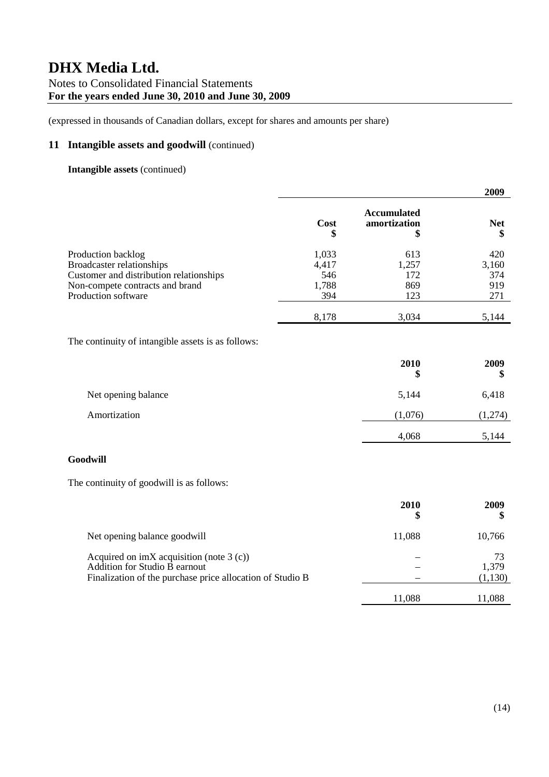(expressed in thousands of Canadian dollars, except for shares and amounts per share)

### **11 Intangible assets and goodwill** (continued)

### **Intangible assets** (continued)

|                                                                                                                                                      |                                       |                                          | 2009                              |
|------------------------------------------------------------------------------------------------------------------------------------------------------|---------------------------------------|------------------------------------------|-----------------------------------|
|                                                                                                                                                      | Cost<br>\$                            | <b>Accumulated</b><br>amortization<br>\$ | <b>Net</b><br>\$                  |
| Production backlog<br>Broadcaster relationships<br>Customer and distribution relationships<br>Non-compete contracts and brand<br>Production software | 1,033<br>4,417<br>546<br>1,788<br>394 | 613<br>1,257<br>172<br>869<br>123        | 420<br>3,160<br>374<br>919<br>271 |
| The continuity of intangible assets is as follows:                                                                                                   | 8,178                                 | 3,034                                    | 5,144                             |
|                                                                                                                                                      |                                       | 2010<br>\$                               | 2009<br>\$                        |
| Net opening balance                                                                                                                                  |                                       | 5,144                                    | 6,418                             |
| Amortization                                                                                                                                         |                                       | (1,076)                                  | (1,274)                           |
|                                                                                                                                                      |                                       | 4,068                                    | 5,144                             |
| Goodwill                                                                                                                                             |                                       |                                          |                                   |
| The continuity of goodwill is as follows:                                                                                                            |                                       |                                          |                                   |
|                                                                                                                                                      |                                       | 2010<br>\$                               | 2009<br>\$                        |
| Net opening balance goodwill                                                                                                                         |                                       | 11,088                                   | 10,766                            |

Acquired on imX acquisition (note 3 (c))  $-$  73<br>Addition for Studio B earnout  $-$  73 Addition for Studio  $\overline{B}$  earnout  $-$ Finalization of the purchase price allocation of Studio B (1,130)

11,088 11,088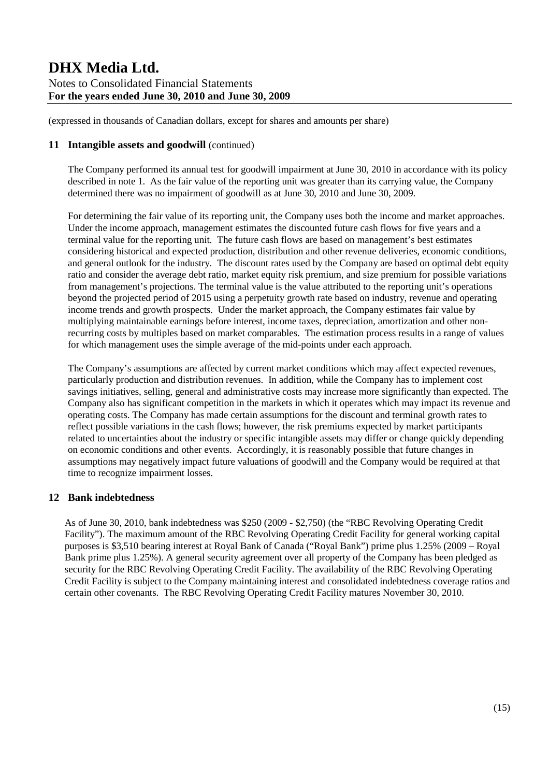(expressed in thousands of Canadian dollars, except for shares and amounts per share)

### **11 Intangible assets and goodwill** (continued)

The Company performed its annual test for goodwill impairment at June 30, 2010 in accordance with its policy described in note 1. As the fair value of the reporting unit was greater than its carrying value, the Company determined there was no impairment of goodwill as at June 30, 2010 and June 30, 2009.

For determining the fair value of its reporting unit, the Company uses both the income and market approaches. Under the income approach, management estimates the discounted future cash flows for five years and a terminal value for the reporting unit. The future cash flows are based on management's best estimates considering historical and expected production, distribution and other revenue deliveries, economic conditions, and general outlook for the industry. The discount rates used by the Company are based on optimal debt equity ratio and consider the average debt ratio, market equity risk premium, and size premium for possible variations from management's projections. The terminal value is the value attributed to the reporting unit's operations beyond the projected period of 2015 using a perpetuity growth rate based on industry, revenue and operating income trends and growth prospects. Under the market approach, the Company estimates fair value by multiplying maintainable earnings before interest, income taxes, depreciation, amortization and other nonrecurring costs by multiples based on market comparables. The estimation process results in a range of values for which management uses the simple average of the mid-points under each approach.

The Company's assumptions are affected by current market conditions which may affect expected revenues, particularly production and distribution revenues. In addition, while the Company has to implement cost savings initiatives, selling, general and administrative costs may increase more significantly than expected. The Company also has significant competition in the markets in which it operates which may impact its revenue and operating costs. The Company has made certain assumptions for the discount and terminal growth rates to reflect possible variations in the cash flows; however, the risk premiums expected by market participants related to uncertainties about the industry or specific intangible assets may differ or change quickly depending on economic conditions and other events. Accordingly, it is reasonably possible that future changes in assumptions may negatively impact future valuations of goodwill and the Company would be required at that time to recognize impairment losses.

### **12 Bank indebtedness**

As of June 30, 2010, bank indebtedness was \$250 (2009 - \$2,750) (the "RBC Revolving Operating Credit Facility"). The maximum amount of the RBC Revolving Operating Credit Facility for general working capital purposes is \$3,510 bearing interest at Royal Bank of Canada ("Royal Bank") prime plus 1.25% (2009 – Royal Bank prime plus 1.25%). A general security agreement over all property of the Company has been pledged as security for the RBC Revolving Operating Credit Facility. The availability of the RBC Revolving Operating Credit Facility is subject to the Company maintaining interest and consolidated indebtedness coverage ratios and certain other covenants. The RBC Revolving Operating Credit Facility matures November 30, 2010.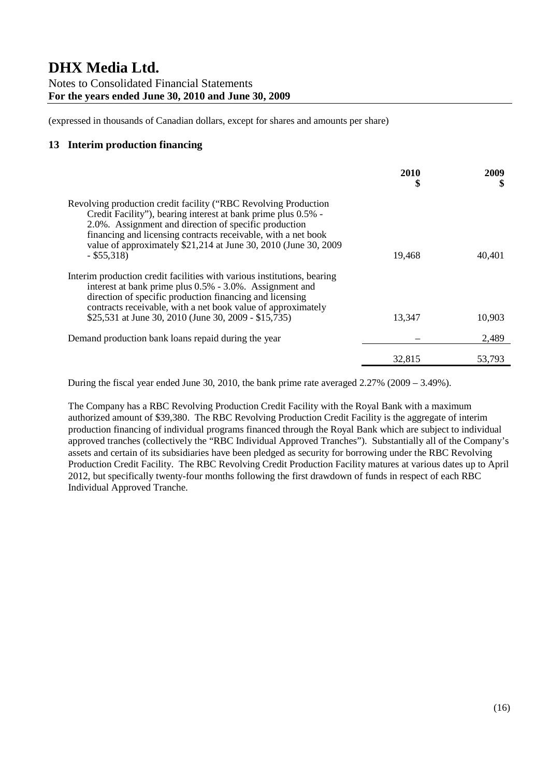(expressed in thousands of Canadian dollars, except for shares and amounts per share)

### **13 Interim production financing**

|                                                                                                                                                                                                                                                                                                                                                 | 2010<br>S | 2009<br>S |
|-------------------------------------------------------------------------------------------------------------------------------------------------------------------------------------------------------------------------------------------------------------------------------------------------------------------------------------------------|-----------|-----------|
| Revolving production credit facility ("RBC Revolving Production<br>Credit Facility"), bearing interest at bank prime plus 0.5% -<br>2.0%. Assignment and direction of specific production<br>financing and licensing contracts receivable, with a net book<br>value of approximately \$21,214 at June 30, 2010 (June 30, 2009)<br>$-$ \$55,318) | 19.468    | 40.401    |
| Interim production credit facilities with various institutions, bearing<br>interest at bank prime plus 0.5% - 3.0%. Assignment and<br>direction of specific production financing and licensing<br>contracts receivable, with a net book value of approximately<br>\$25,531 at June 30, 2010 (June 30, 2009 - \$15,735)                          | 13.347    | 10,903    |
| Demand production bank loans repaid during the year                                                                                                                                                                                                                                                                                             |           | 2,489     |
|                                                                                                                                                                                                                                                                                                                                                 | 32.815    | 53,793    |

During the fiscal year ended June 30, 2010, the bank prime rate averaged 2.27% (2009 – 3.49%).

The Company has a RBC Revolving Production Credit Facility with the Royal Bank with a maximum authorized amount of \$39,380. The RBC Revolving Production Credit Facility is the aggregate of interim production financing of individual programs financed through the Royal Bank which are subject to individual approved tranches (collectively the "RBC Individual Approved Tranches"). Substantially all of the Company's assets and certain of its subsidiaries have been pledged as security for borrowing under the RBC Revolving Production Credit Facility. The RBC Revolving Credit Production Facility matures at various dates up to April 2012, but specifically twenty-four months following the first drawdown of funds in respect of each RBC Individual Approved Tranche.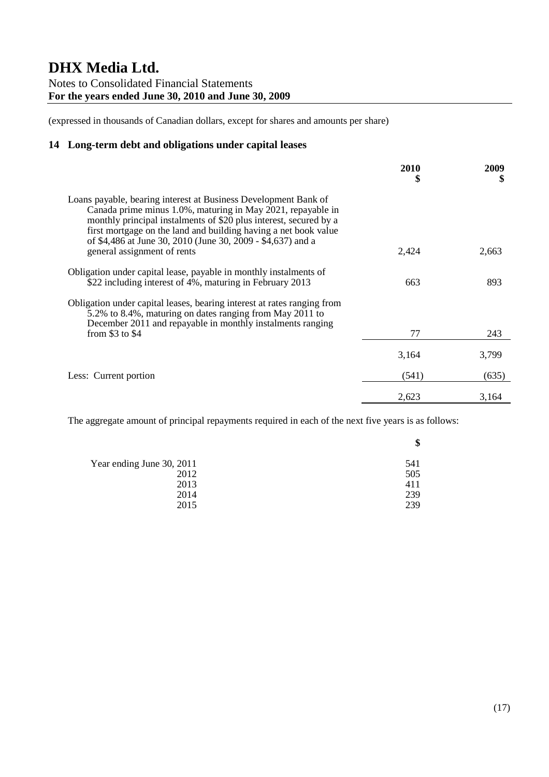(expressed in thousands of Canadian dollars, except for shares and amounts per share)

### **14 Long-term debt and obligations under capital leases**

|                                                                                                                                                                                                                                                                                                                                                                      | 2010<br>\$ | 2009<br>\$ |
|----------------------------------------------------------------------------------------------------------------------------------------------------------------------------------------------------------------------------------------------------------------------------------------------------------------------------------------------------------------------|------------|------------|
| Loans payable, bearing interest at Business Development Bank of<br>Canada prime minus 1.0%, maturing in May 2021, repayable in<br>monthly principal instalments of \$20 plus interest, secured by a<br>first mortgage on the land and building having a net book value<br>of \$4,486 at June 30, 2010 (June 30, 2009 - \$4,637) and a<br>general assignment of rents | 2,424      | 2,663      |
| Obligation under capital lease, payable in monthly instalments of<br>\$22 including interest of 4%, maturing in February 2013                                                                                                                                                                                                                                        | 663        | 893        |
| Obligation under capital leases, bearing interest at rates ranging from<br>5.2% to 8.4%, maturing on dates ranging from May 2011 to<br>December 2011 and repayable in monthly instalments ranging<br>from \$3 to \$4                                                                                                                                                 | 77         | 243        |
|                                                                                                                                                                                                                                                                                                                                                                      | 3,164      | 3,799      |
| Less: Current portion                                                                                                                                                                                                                                                                                                                                                | (541)      | (635)      |
|                                                                                                                                                                                                                                                                                                                                                                      | 2,623      | 3,164      |

The aggregate amount of principal repayments required in each of the next five years is as follows:

| ۰Ф  |
|-----|
| 541 |
| 505 |
| 411 |
| 239 |
| 239 |
|     |

**\$**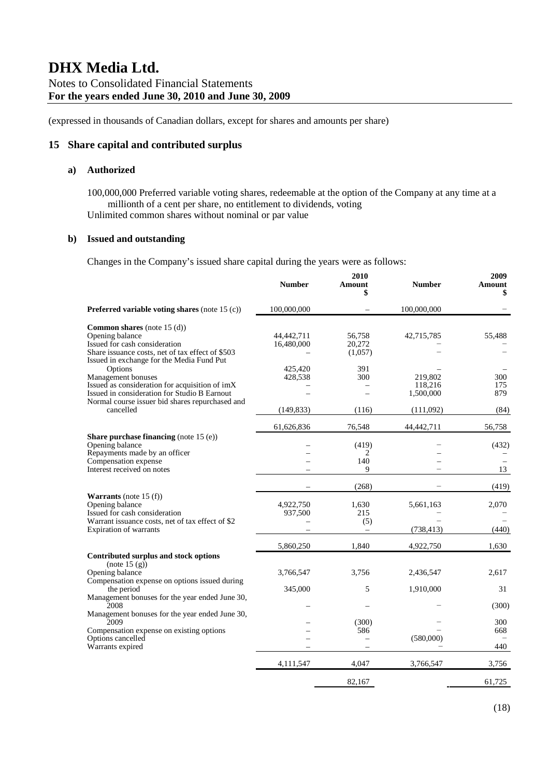### **15 Share capital and contributed surplus**

#### **a) Authorized**

100,000,000 Preferred variable voting shares, redeemable at the option of the Company at any time at a millionth of a cent per share, no entitlement to dividends, voting Unlimited common shares without nominal or par value

**2010**

#### **b) Issued and outstanding**

Changes in the Company's issued share capital during the years were as follows:

|                                                                                                                                                                                         | <b>Number</b>            | 2010<br>Amount<br>\$        | <b>Number</b>                   | 2009<br>Amount<br>\$ |
|-----------------------------------------------------------------------------------------------------------------------------------------------------------------------------------------|--------------------------|-----------------------------|---------------------------------|----------------------|
| <b>Preferred variable voting shares</b> (note $15$ (c))                                                                                                                                 | 100,000,000              |                             | 100,000,000                     |                      |
| <b>Common shares</b> (note 15 (d))<br>Opening balance<br>Issued for cash consideration<br>Share issuance costs, net of tax effect of \$503<br>Issued in exchange for the Media Fund Put | 44,442,711<br>16,480,000 | 56,758<br>20,272<br>(1,057) | 42,715,785                      | 55,488               |
| Options<br>Management bonuses<br>Issued as consideration for acquisition of imX<br>Issued in consideration for Studio B Earnout<br>Normal course issuer bid shares repurchased and      | 425,420<br>428,538       | 391<br>300                  | 219,802<br>118,216<br>1,500,000 | 300<br>175<br>879    |
| cancelled                                                                                                                                                                               | (149, 833)               | (116)                       | (111,092)                       | (84)                 |
| Share purchase financing (note 15 (e))<br>Opening balance<br>Repayments made by an officer<br>Compensation expense                                                                      | 61,626,836               | 76,548<br>(419)<br>2<br>140 | 44,442,711                      | 56,758<br>(432)      |
| Interest received on notes                                                                                                                                                              |                          | 9                           |                                 | 13                   |
|                                                                                                                                                                                         |                          | (268)                       |                                 | (419)                |
| <b>Warrants</b> (note 15 $(f)$ )<br>Opening balance<br>Issued for cash consideration<br>Warrant issuance costs, net of tax effect of \$2<br>Expiration of warrants                      | 4,922,750<br>937,500     | 1,630<br>215<br>(5)         | 5,661,163<br>(738, 413)         | 2,070<br>(440)       |
|                                                                                                                                                                                         | 5,860,250                | 1,840                       | 4,922,750                       | 1,630                |
| Contributed surplus and stock options<br>(note 15(g))<br>Opening balance<br>Compensation expense on options issued during                                                               | 3,766,547                | 3.756                       | 2,436,547                       | 2.617                |
| the period<br>Management bonuses for the year ended June 30,                                                                                                                            | 345,000                  | 5                           | 1,910,000                       | 31                   |
| 2008<br>Management bonuses for the year ended June 30,                                                                                                                                  |                          |                             |                                 | (300)                |
| 2009<br>Compensation expense on existing options<br>Options cancelled<br>Warrants expired                                                                                               |                          | (300)<br>586                | (580,000)                       | 300<br>668<br>440    |
|                                                                                                                                                                                         | 4,111,547                | 4.047                       | 3,766,547                       | 3,756                |
|                                                                                                                                                                                         |                          | 82.167                      |                                 | 61,725               |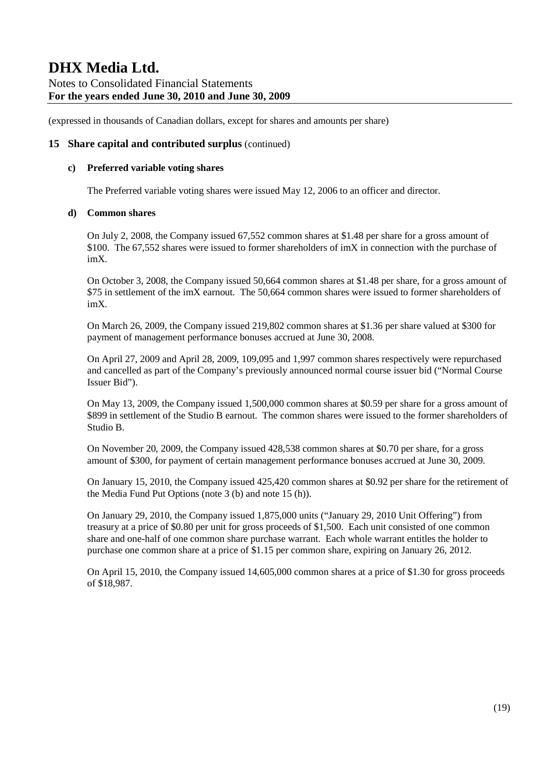(expressed in thousands of Canadian dollars, except for shares and amounts per share)

### **15 Share capital and contributed surplus** (continued)

#### **c) Preferred variable voting shares**

The Preferred variable voting shares were issued May 12, 2006 to an officer and director.

#### **d) Common shares**

On July 2, 2008, the Company issued 67,552 common shares at \$1.48 per share for a gross amount of \$100. The 67,552 shares were issued to former shareholders of imX in connection with the purchase of imX.

On October 3, 2008, the Company issued 50,664 common shares at \$1.48 per share, for a gross amount of \$75 in settlement of the imX earnout. The 50,664 common shares were issued to former shareholders of imX.

On March 26, 2009, the Company issued 219,802 common shares at \$1.36 per share valued at \$300 for payment of management performance bonuses accrued at June 30, 2008.

On April 27, 2009 and April 28, 2009, 109,095 and 1,997 common shares respectively were repurchased and cancelled as part of the Company's previously announced normal course issuer bid ("Normal Course Issuer Bid").

On May 13, 2009, the Company issued 1,500,000 common shares at \$0.59 per share for a gross amount of \$899 in settlement of the Studio B earnout. The common shares were issued to the former shareholders of Studio B.

On November 20, 2009, the Company issued 428,538 common shares at \$0.70 per share, for a gross amount of \$300, for payment of certain management performance bonuses accrued at June 30, 2009.

On January 15, 2010, the Company issued 425,420 common shares at \$0.92 per share for the retirement of the Media Fund Put Options (note 3 (b) and note 15 (h)).

On January 29, 2010, the Company issued 1,875,000 units ("January 29, 2010 Unit Offering") from treasury at a price of \$0.80 per unit for gross proceeds of \$1,500. Each unit consisted of one common share and one-half of one common share purchase warrant. Each whole warrant entitles the holder to purchase one common share at a price of \$1.15 per common share, expiring on January 26, 2012.

On April 15, 2010, the Company issued 14,605,000 common shares at a price of \$1.30 for gross proceeds of \$18,987.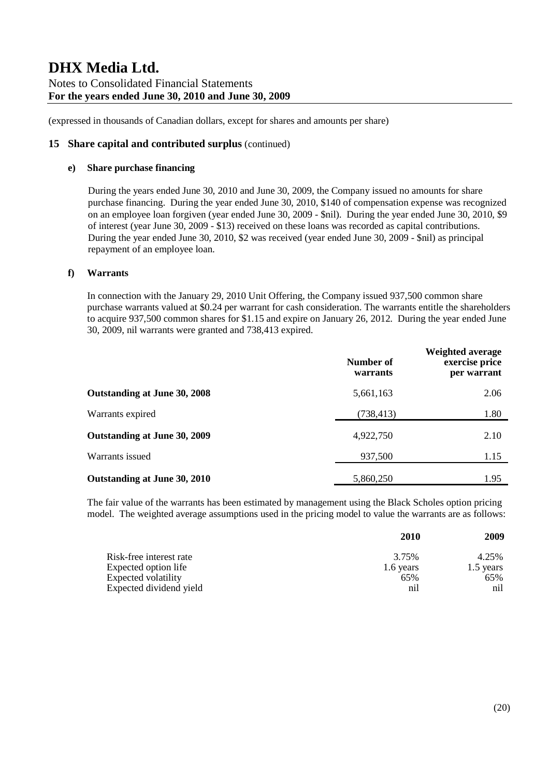(expressed in thousands of Canadian dollars, except for shares and amounts per share)

### **15 Share capital and contributed surplus** (continued)

#### **e) Share purchase financing**

During the years ended June 30, 2010 and June 30, 2009, the Company issued no amounts for share purchase financing. During the year ended June 30, 2010, \$140 of compensation expense was recognized on an employee loan forgiven (year ended June 30, 2009 - \$nil). During the year ended June 30, 2010, \$9 of interest (year June 30, 2009 - \$13) received on these loans was recorded as capital contributions. During the year ended June 30, 2010, \$2 was received (year ended June 30, 2009 - \$nil) as principal repayment of an employee loan.

### **f) Warrants**

In connection with the January 29, 2010 Unit Offering, the Company issued 937,500 common share purchase warrants valued at \$0.24 per warrant for cash consideration. The warrants entitle the shareholders to acquire 937,500 common shares for \$1.15 and expire on January 26, 2012. During the year ended June 30, 2009, nil warrants were granted and 738,413 expired.

|                              | Number of<br>warrants | <b>Weighted average</b><br>exercise price<br>per warrant |
|------------------------------|-----------------------|----------------------------------------------------------|
| Outstanding at June 30, 2008 | 5,661,163             | 2.06                                                     |
| Warrants expired             | (738, 413)            | 1.80                                                     |
| Outstanding at June 30, 2009 | 4,922,750             | 2.10                                                     |
| Warrants issued              | 937,500               | 1.15                                                     |
| Outstanding at June 30, 2010 | 5,860,250             | 1.95                                                     |

The fair value of the warrants has been estimated by management using the Black Scholes option pricing model. The weighted average assumptions used in the pricing model to value the warrants are as follows:

|                         | 2010      | 2009      |
|-------------------------|-----------|-----------|
| Risk-free interest rate | 3.75%     | 4.25%     |
| Expected option life    | 1.6 years | 1.5 years |
| Expected volatility     | 65%       | 65%       |
| Expected dividend yield | nil       | nil       |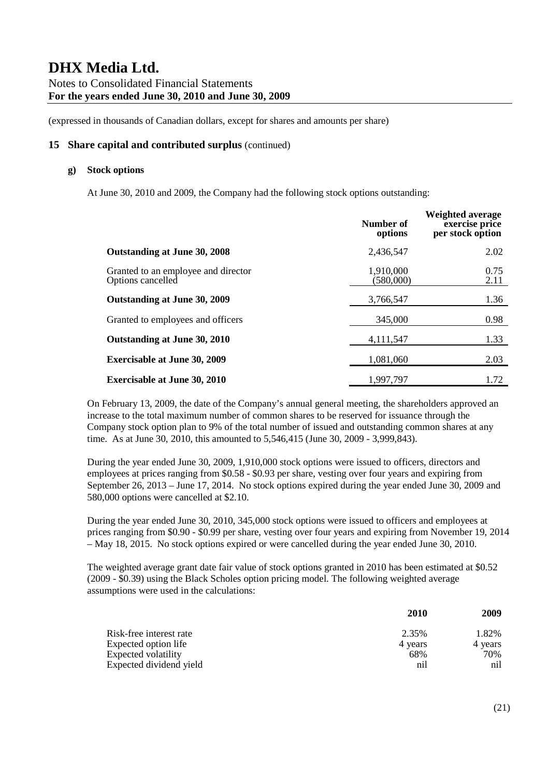### **15 Share capital and contributed surplus** (continued)

### **g) Stock options**

At June 30, 2010 and 2009, the Company had the following stock options outstanding:

|                                                          | Number of<br>options   | Weighted average<br>exercise price<br>per stock option |
|----------------------------------------------------------|------------------------|--------------------------------------------------------|
| Outstanding at June 30, 2008                             | 2,436,547              | 2.02                                                   |
| Granted to an employee and director<br>Options cancelled | 1,910,000<br>(580,000) | 0.75<br>2.11                                           |
| Outstanding at June 30, 2009                             | 3,766,547              | 1.36                                                   |
| Granted to employees and officers                        | 345,000                | 0.98                                                   |
| Outstanding at June 30, 2010                             | 4,111,547              | 1.33                                                   |
| <b>Exercisable at June 30, 2009</b>                      | 1,081,060              | 2.03                                                   |
| <b>Exercisable at June 30, 2010</b>                      | 1,997,797              | 1.72                                                   |

On February 13, 2009, the date of the Company's annual general meeting, the shareholders approved an increase to the total maximum number of common shares to be reserved for issuance through the Company stock option plan to 9% of the total number of issued and outstanding common shares at any time. As at June 30, 2010, this amounted to 5,546,415 (June 30, 2009 - 3,999,843).

During the year ended June 30, 2009, 1,910,000 stock options were issued to officers, directors and employees at prices ranging from \$0.58 - \$0.93 per share, vesting over four years and expiring from September 26, 2013 – June 17, 2014. No stock options expired during the year ended June 30, 2009 and 580,000 options were cancelled at \$2.10.

During the year ended June 30, 2010, 345,000 stock options were issued to officers and employees at prices ranging from \$0.90 - \$0.99 per share, vesting over four years and expiring from November 19, 2014 – May 18, 2015. No stock options expired or were cancelled during the year ended June 30, 2010.

The weighted average grant date fair value of stock options granted in 2010 has been estimated at \$0.52 (2009 - \$0.39) using the Black Scholes option pricing model. The following weighted average assumptions were used in the calculations:

|                            | 2010    | 2009    |
|----------------------------|---------|---------|
| Risk-free interest rate    | 2.35%   | 1.82%   |
| Expected option life       | 4 years | 4 years |
| <b>Expected volatility</b> | 68%     | 70%     |
| Expected dividend yield    | n1      | n1      |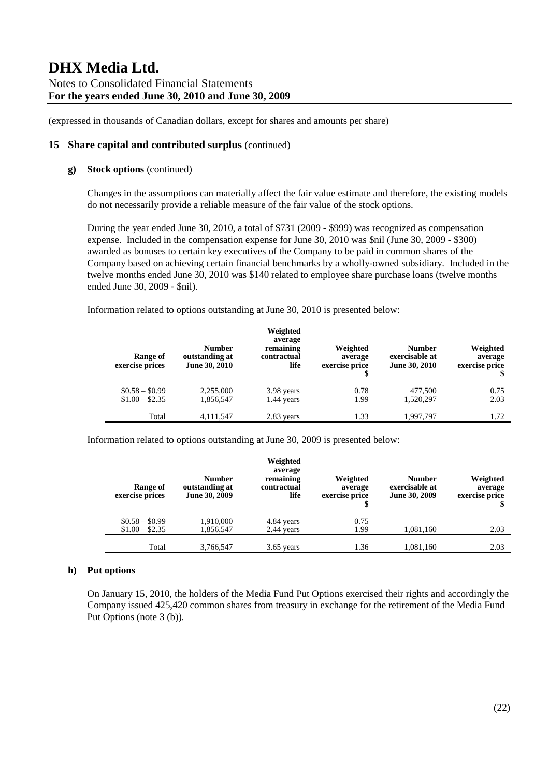### **15 Share capital and contributed surplus** (continued)

### **g) Stock options** (continued)

Changes in the assumptions can materially affect the fair value estimate and therefore, the existing models do not necessarily provide a reliable measure of the fair value of the stock options.

During the year ended June 30, 2010, a total of \$731 (2009 - \$999) was recognized as compensation expense. Included in the compensation expense for June 30, 2010 was \$nil (June 30, 2009 - \$300) awarded as bonuses to certain key executives of the Company to be paid in common shares of the Company based on achieving certain financial benchmarks by a wholly-owned subsidiary. Included in the twelve months ended June 30, 2010 was \$140 related to employee share purchase loans (twelve months ended June 30, 2009 - \$nil).

Information related to options outstanding at June 30, 2010 is presented below:

| Range of<br>exercise prices        | <b>Number</b><br>outstanding at<br><b>June 30, 2010</b> | Weighted<br>average<br>remaining<br>contractual<br>life | Weighted<br>average<br>exercise price<br>\$ | <b>Number</b><br>exercisable at<br>June 30, 2010 | Weighted<br>average<br>exercise price |
|------------------------------------|---------------------------------------------------------|---------------------------------------------------------|---------------------------------------------|--------------------------------------------------|---------------------------------------|
| $$0.58 - $0.99$<br>$$1.00 - $2.35$ | 2,255,000<br>1,856,547                                  | 3.98 years<br>1.44 vears                                | 0.78<br>1.99                                | 477,500<br>1,520,297                             | 0.75<br>2.03                          |
| Total                              | 4.111.547                                               | 2.83 years                                              | 1.33                                        | 1.997.797                                        | 1.72                                  |

Information related to options outstanding at June 30, 2009 is presented below:

| Range of<br>exercise prices | <b>Number</b><br>outstanding at<br>June 30, 2009 | Weighted<br>average<br>remaining<br>contractual<br>life | Weighted<br>average<br>exercise price | <b>Number</b><br>exercisable at<br>June 30, 2009 | Weighted<br>average<br>exercise price |
|-----------------------------|--------------------------------------------------|---------------------------------------------------------|---------------------------------------|--------------------------------------------------|---------------------------------------|
| $$0.58 - $0.99$             | 1,910,000                                        | 4.84 years                                              | 0.75                                  |                                                  |                                       |
| $$1.00 - $2.35$             | 1,856,547                                        | 2.44 years                                              | 1.99                                  | 1,081,160                                        | 2.03                                  |
| Total                       | 3,766,547                                        | $3.65$ years                                            | 1.36                                  | 1,081,160                                        | 2.03                                  |

#### **h) Put options**

On January 15, 2010, the holders of the Media Fund Put Options exercised their rights and accordingly the Company issued 425,420 common shares from treasury in exchange for the retirement of the Media Fund Put Options (note 3 (b)).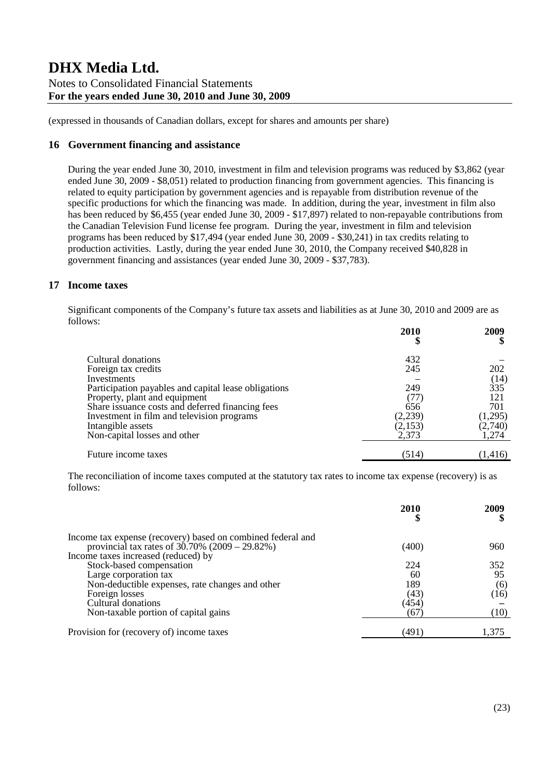(expressed in thousands of Canadian dollars, except for shares and amounts per share)

### **16 Government financing and assistance**

During the year ended June 30, 2010, investment in film and television programs was reduced by \$3,862 (year ended June 30, 2009 - \$8,051) related to production financing from government agencies. This financing is related to equity participation by government agencies and is repayable from distribution revenue of the specific productions for which the financing was made. In addition, during the year, investment in film also has been reduced by \$6,455 (year ended June 30, 2009 - \$17,897) related to non-repayable contributions from the Canadian Television Fund license fee program. During the year, investment in film and television programs has been reduced by \$17,494 (year ended June 30, 2009 - \$30,241) in tax credits relating to production activities. Lastly, during the year ended June 30, 2010, the Company received \$40,828 in government financing and assistances (year ended June 30, 2009 - \$37,783).

### **17 Income taxes**

Significant components of the Company's future tax assets and liabilities as at June 30, 2010 and 2009 are as follows:

|                                                                                   | 2010<br>\$       | 2009             |
|-----------------------------------------------------------------------------------|------------------|------------------|
| Cultural donations                                                                | 432              |                  |
| Foreign tax credits<br>Investments                                                | 245              | 202<br>(14)      |
| Participation payables and capital lease obligations                              | 249              | 335              |
| Property, plant and equipment<br>Share issuance costs and deferred financing fees | (77)<br>656      | 121<br>701       |
| Investment in film and television programs                                        | (2,239)          | (1,295)          |
| Intangible assets<br>Non-capital losses and other                                 | (2,153)<br>2,373 | (2,740)<br>1,274 |
| Future income taxes                                                               | (514)            | (1,416)          |

The reconciliation of income taxes computed at the statutory tax rates to income tax expense (recovery) is as follows:

|                                                                                          | 2010  | 2009  |
|------------------------------------------------------------------------------------------|-------|-------|
| Income tax expense (recovery) based on combined federal and                              |       |       |
| provincial tax rates of $30.70\%$ (2009 – 29.82%)<br>Income taxes increased (reduced) by | (400) | 960   |
|                                                                                          |       |       |
| Stock-based compensation                                                                 | 224   | 352   |
| Large corporation tax                                                                    | 60    | 95    |
| Non-deductible expenses, rate changes and other                                          | 189   | (6)   |
| Foreign losses                                                                           | (43)  | (16)  |
| Cultural donations                                                                       | (454) |       |
| Non-taxable portion of capital gains                                                     | 67    | (10)  |
| Provision for (recovery of) income taxes                                                 | (491) | 1,375 |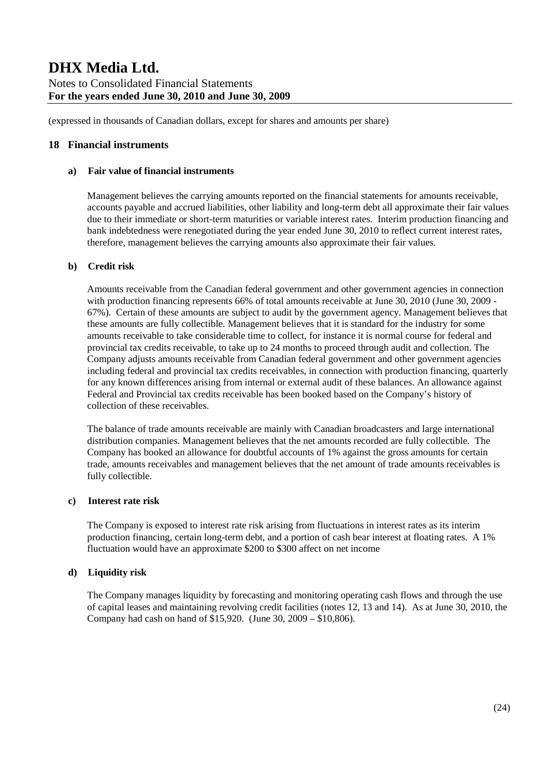### **18 Financial instruments**

### **a) Fair value of financial instruments**

Management believes the carrying amounts reported on the financial statements for amounts receivable, accounts payable and accrued liabilities, other liability and long-term debt all approximate their fair values due to their immediate or short-term maturities or variable interest rates. Interim production financing and bank indebtedness were renegotiated during the year ended June 30, 2010 to reflect current interest rates, therefore, management believes the carrying amounts also approximate their fair values.

#### **b) Credit risk**

Amounts receivable from the Canadian federal government and other government agencies in connection with production financing represents 66% of total amounts receivable at June 30, 2010 (June 30, 2009 - 67%). Certain of these amounts are subject to audit by the government agency. Management believes that these amounts are fully collectible. Management believes that it is standard for the industry for some amounts receivable to take considerable time to collect, for instance it is normal course for federal and provincial tax credits receivable, to take up to 24 months to proceed through audit and collection. The Company adjusts amounts receivable from Canadian federal government and other government agencies including federal and provincial tax credits receivables, in connection with production financing, quarterly for any known differences arising from internal or external audit of these balances. An allowance against Federal and Provincial tax credits receivable has been booked based on the Company's history of collection of these receivables.

The balance of trade amounts receivable are mainly with Canadian broadcasters and large international distribution companies. Management believes that the net amounts recorded are fully collectible. The Company has booked an allowance for doubtful accounts of 1% against the gross amounts for certain trade, amounts receivables and management believes that the net amount of trade amounts receivables is fully collectible.

### **c) Interest rate risk**

The Company is exposed to interest rate risk arising from fluctuations in interest rates as its interim production financing, certain long-term debt, and a portion of cash bear interest at floating rates. A 1% fluctuation would have an approximate \$200 to \$300 affect on net income

### **d) Liquidity risk**

The Company manages liquidity by forecasting and monitoring operating cash flows and through the use of capital leases and maintaining revolving credit facilities (notes 12, 13 and 14). As at June 30, 2010, the Company had cash on hand of \$15,920. (June 30, 2009 – \$10,806).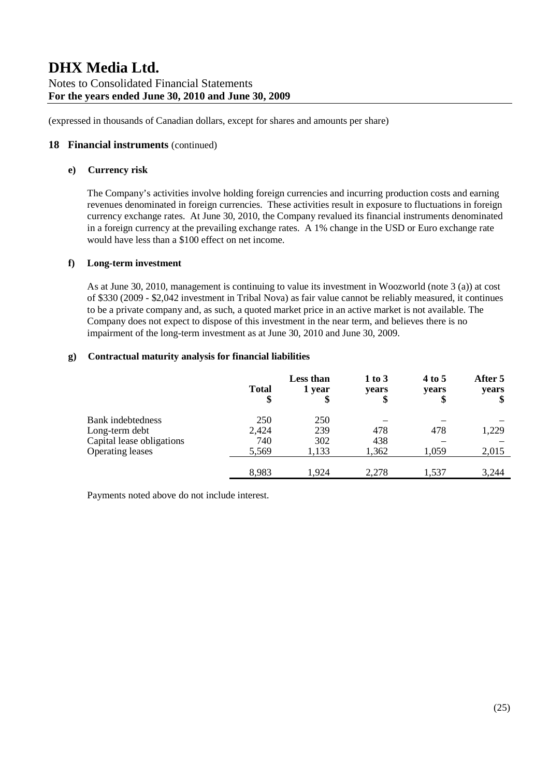### **18 Financial instruments** (continued)

### **e) Currency risk**

The Company's activities involve holding foreign currencies and incurring production costs and earning revenues denominated in foreign currencies. These activities result in exposure to fluctuations in foreign currency exchange rates. At June 30, 2010, the Company revalued its financial instruments denominated in a foreign currency at the prevailing exchange rates. A 1% change in the USD or Euro exchange rate would have less than a \$100 effect on net income.

#### **f) Long-term investment**

As at June 30, 2010, management is continuing to value its investment in Woozworld (note 3 (a)) at cost of \$330 (2009 - \$2,042 investment in Tribal Nova) as fair value cannot be reliably measured, it continues to be a private company and, as such, a quoted market price in an active market is not available. The Company does not expect to dispose of this investment in the near term, and believes there is no impairment of the long-term investment as at June 30, 2010 and June 30, 2009.

### **g) Contractual maturity analysis for financial liabilities**

|                           | <b>Total</b><br>\$ | <b>Less than</b><br>1 year | $1$ to $3$<br>years<br>\$ | 4 to 5<br>years<br>\$ | After 5<br>years |
|---------------------------|--------------------|----------------------------|---------------------------|-----------------------|------------------|
| <b>Bank</b> indebtedness  | 250                | 250                        |                           |                       |                  |
| Long-term debt            | 2,424              | 239                        | 478                       | 478                   | 1,229            |
| Capital lease obligations | 740                | 302                        | 438                       |                       |                  |
| <b>Operating leases</b>   | 5,569              | 1,133                      | 1,362                     | 1,059                 | 2,015            |
|                           | 8,983              | 1,924                      | 2,278                     | 1,537                 | 3,244            |

Payments noted above do not include interest.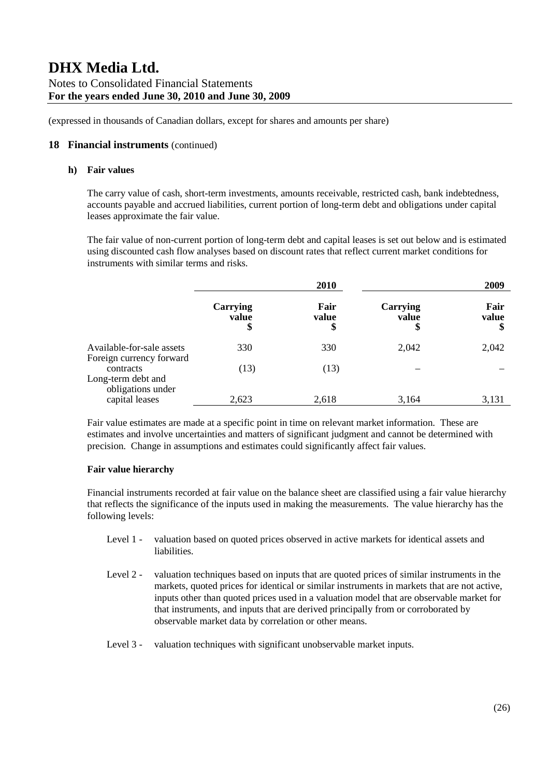### **18 Financial instruments** (continued)

### **h) Fair values**

The carry value of cash, short-term investments, amounts receivable, restricted cash, bank indebtedness, accounts payable and accrued liabilities, current portion of long-term debt and obligations under capital leases approximate the fair value.

The fair value of non-current portion of long-term debt and capital leases is set out below and is estimated using discounted cash flow analyses based on discount rates that reflect current market conditions for instruments with similar terms and risks.

|                                                       |                         | 2010                |                         | 2009                |
|-------------------------------------------------------|-------------------------|---------------------|-------------------------|---------------------|
|                                                       | Carrying<br>value<br>\$ | Fair<br>value<br>\$ | Carrying<br>value<br>\$ | Fair<br>value<br>\$ |
| Available-for-sale assets<br>Foreign currency forward | 330                     | 330                 | 2,042                   | 2,042               |
| contracts<br>Long-term debt and<br>obligations under  | (13)                    | (13)                |                         |                     |
| capital leases                                        | 2,623                   | 2,618               | 3,164                   | 3,131               |

Fair value estimates are made at a specific point in time on relevant market information. These are estimates and involve uncertainties and matters of significant judgment and cannot be determined with precision. Change in assumptions and estimates could significantly affect fair values.

### **Fair value hierarchy**

Financial instruments recorded at fair value on the balance sheet are classified using a fair value hierarchy that reflects the significance of the inputs used in making the measurements. The value hierarchy has the following levels:

- Level 1 valuation based on quoted prices observed in active markets for identical assets and liabilities.
- Level 2 valuation techniques based on inputs that are quoted prices of similar instruments in the markets, quoted prices for identical or similar instruments in markets that are not active, inputs other than quoted prices used in a valuation model that are observable market for that instruments, and inputs that are derived principally from or corroborated by observable market data by correlation or other means.
- Level 3 valuation techniques with significant unobservable market inputs.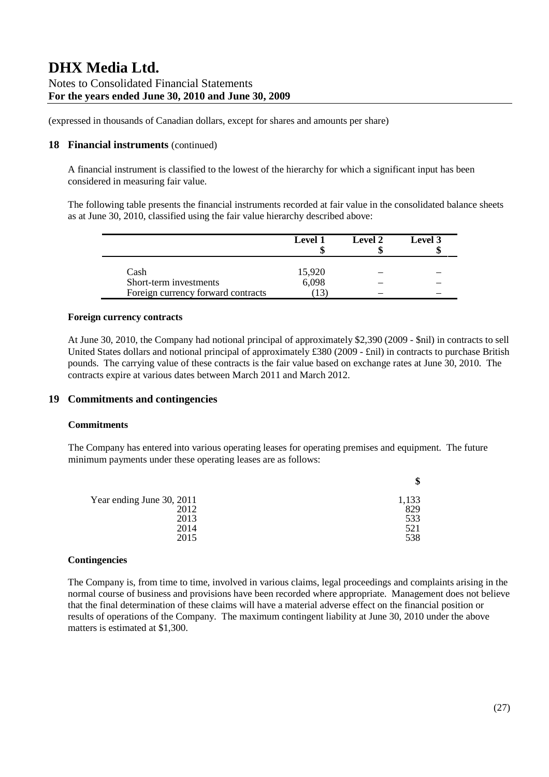(expressed in thousands of Canadian dollars, except for shares and amounts per share)

### **18 Financial instruments** (continued)

A financial instrument is classified to the lowest of the hierarchy for which a significant input has been considered in measuring fair value.

The following table presents the financial instruments recorded at fair value in the consolidated balance sheets as at June 30, 2010, classified using the fair value hierarchy described above:

|                                    | <b>Level 1</b> | Level 2 | Level 3 |
|------------------------------------|----------------|---------|---------|
| Cash                               | 15,920         |         |         |
| Short-term investments             | 6,098          |         |         |
| Foreign currency forward contracts |                |         |         |

### **Foreign currency contracts**

At June 30, 2010, the Company had notional principal of approximately \$2,390 (2009 - \$nil) in contracts to sell United States dollars and notional principal of approximately £380 (2009 - £nil) in contracts to purchase British pounds. The carrying value of these contracts is the fair value based on exchange rates at June 30, 2010. The contracts expire at various dates between March 2011 and March 2012.

### **19 Commitments and contingencies**

### **Commitments**

The Company has entered into various operating leases for operating premises and equipment. The future minimum payments under these operating leases are as follows:

| Year ending June 30, 2011 | 1,133 |
|---------------------------|-------|
| 2012                      | 829   |
| 2013                      | 533   |
| 2014                      | 521   |
| 2015                      | 538   |

### **Contingencies**

The Company is, from time to time, involved in various claims, legal proceedings and complaints arising in the normal course of business and provisions have been recorded where appropriate. Management does not believe that the final determination of these claims will have a material adverse effect on the financial position or results of operations of the Company. The maximum contingent liability at June 30, 2010 under the above matters is estimated at \$1,300.

**\$**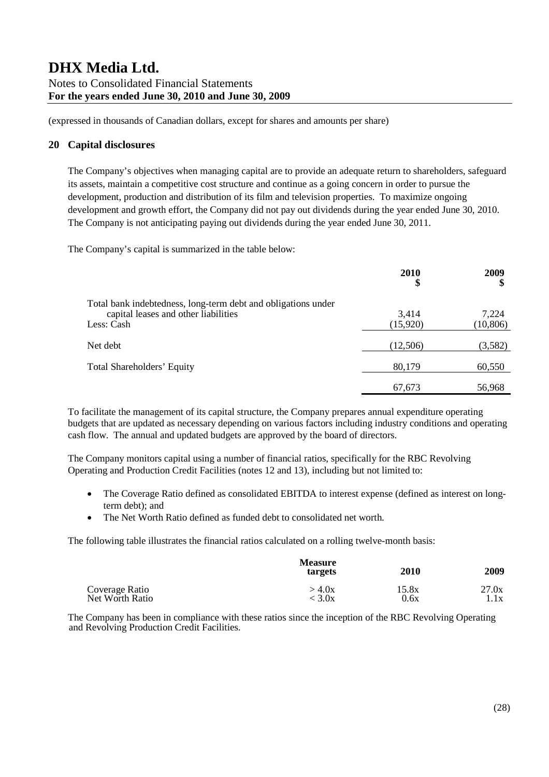### **20 Capital disclosures**

The Company's objectives when managing capital are to provide an adequate return to shareholders, safeguard its assets, maintain a competitive cost structure and continue as a going concern in order to pursue the development, production and distribution of its film and television properties. To maximize ongoing development and growth effort, the Company did not pay out dividends during the year ended June 30, 2010. The Company is not anticipating paying out dividends during the year ended June 30, 2011.

The Company's capital is summarized in the table below:

|                                                                                                                     | 2010<br>\$        | 2009<br>\$         |
|---------------------------------------------------------------------------------------------------------------------|-------------------|--------------------|
| Total bank indebtedness, long-term debt and obligations under<br>capital leases and other liabilities<br>Less: Cash | 3,414<br>(15,920) | 7,224<br>(10, 806) |
| Net debt                                                                                                            | (12,506)          | (3,582)            |
| <b>Total Shareholders' Equity</b>                                                                                   | 80,179            | 60,550             |
|                                                                                                                     | 67,673            | 56,968             |

To facilitate the management of its capital structure, the Company prepares annual expenditure operating budgets that are updated as necessary depending on various factors including industry conditions and operating cash flow. The annual and updated budgets are approved by the board of directors.

The Company monitors capital using a number of financial ratios, specifically for the RBC Revolving Operating and Production Credit Facilities (notes 12 and 13), including but not limited to:

- The Coverage Ratio defined as consolidated EBITDA to interest expense (defined as interest on longterm debt); and
- The Net Worth Ratio defined as funded debt to consolidated net worth.

The following table illustrates the financial ratios calculated on a rolling twelve-month basis:

|                 | <b>Measure</b><br>targets | 2010  | 2009  |
|-----------------|---------------------------|-------|-------|
| Coverage Ratio  | >4.0x                     | 15.8x | 27.0x |
| Net Worth Ratio | < 3.0x                    | 0.6x  | 1.1x  |

The Company has been in compliance with these ratios since the inception of the RBC Revolving Operating and Revolving Production Credit Facilities.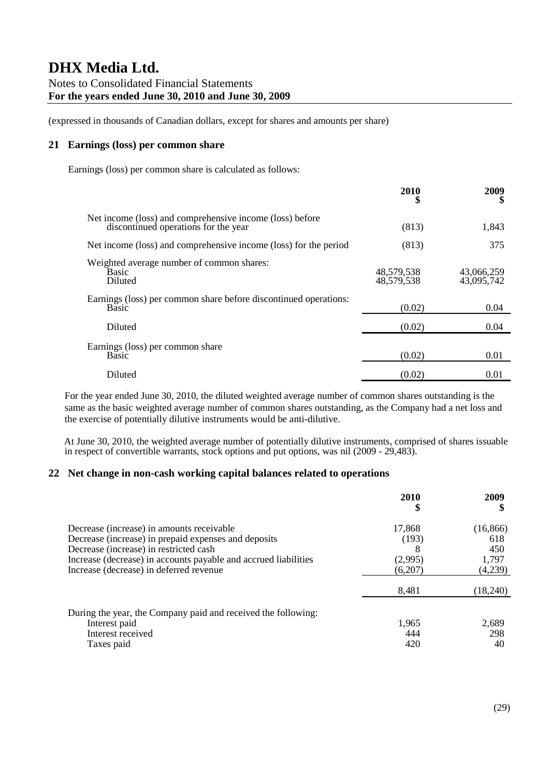### **21 Earnings (loss) per common share**

Earnings (loss) per common share is calculated as follows:

|                                                                                                  | 2010                     | 2009<br>S                |
|--------------------------------------------------------------------------------------------------|--------------------------|--------------------------|
| Net income (loss) and comprehensive income (loss) before<br>discontinued operations for the year | (813)                    | 1,843                    |
| Net income (loss) and comprehensive income (loss) for the period                                 | (813)                    | 375                      |
| Weighted average number of common shares:<br><b>Basic</b><br>Diluted                             | 48,579,538<br>48,579,538 | 43,066,259<br>43,095,742 |
| Earnings (loss) per common share before discontinued operations:<br>Basic                        | (0.02)                   | 0.04                     |
| Diluted                                                                                          | (0.02)                   | 0.04                     |
| Earnings (loss) per common share<br>Basic                                                        | (0.02)                   | 0.01                     |
| Diluted                                                                                          | (0.02)                   | 0.01                     |

For the year ended June 30, 2010, the diluted weighted average number of common shares outstanding is the same as the basic weighted average number of common shares outstanding, as the Company had a net loss and the exercise of potentially dilutive instruments would be anti-dilutive.

At June 30, 2010, the weighted average number of potentially dilutive instruments, comprised of shares issuable in respect of convertible warrants, stock options and put options, was nil (2009 - 29,483).

### **22 Net change in non-cash working capital balances related to operations**

|                                                                                                                                                                                                                                                           | 2010                                  | 2009                                        |
|-----------------------------------------------------------------------------------------------------------------------------------------------------------------------------------------------------------------------------------------------------------|---------------------------------------|---------------------------------------------|
| Decrease (increase) in amounts receivable<br>Decrease (increase) in prepaid expenses and deposits<br>Decrease (increase) in restricted cash<br>Increase (decrease) in accounts payable and accrued liabilities<br>Increase (decrease) in deferred revenue | 17,868<br>(193)<br>(2,995)<br>(6,207) | (16, 866)<br>618<br>450<br>1,797<br>(4,239) |
| During the year, the Company paid and received the following:<br>Interest paid<br>Interest received<br>Taxes paid                                                                                                                                         | 8,481<br>1,965<br>444<br>420          | (18,240)<br>2,689<br>298<br>40              |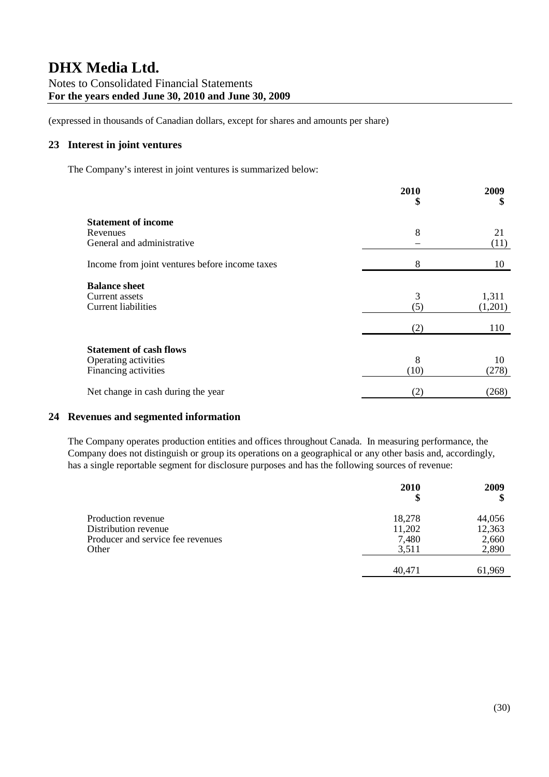### **23 Interest in joint ventures**

The Company's interest in joint ventures is summarized below:

|                                                                                | 2010<br>\$ | 2009<br>\$       |
|--------------------------------------------------------------------------------|------------|------------------|
| <b>Statement of income</b><br>Revenues<br>General and administrative           | 8          | 21<br>(11)       |
| Income from joint ventures before income taxes                                 | 8          | 10               |
| <b>Balance sheet</b><br>Current assets<br><b>Current liabilities</b>           | 3<br>(5)   | 1,311<br>(1,201) |
|                                                                                | (2)        | 110              |
| <b>Statement of cash flows</b><br>Operating activities<br>Financing activities | 8<br>(10)  | 10<br>(278)      |
| Net change in cash during the year                                             | (2)        | (268)            |

### **24 Revenues and segmented information**

The Company operates production entities and offices throughout Canada. In measuring performance, the Company does not distinguish or group its operations on a geographical or any other basis and, accordingly, has a single reportable segment for disclosure purposes and has the following sources of revenue:

|                                   | 2010<br>\$ | 2009   |
|-----------------------------------|------------|--------|
| Production revenue                | 18,278     | 44,056 |
| Distribution revenue              | 11,202     | 12,363 |
| Producer and service fee revenues | 7,480      | 2,660  |
| Other                             | 3,511      | 2,890  |
|                                   |            |        |
|                                   | 40,471     | 61.969 |